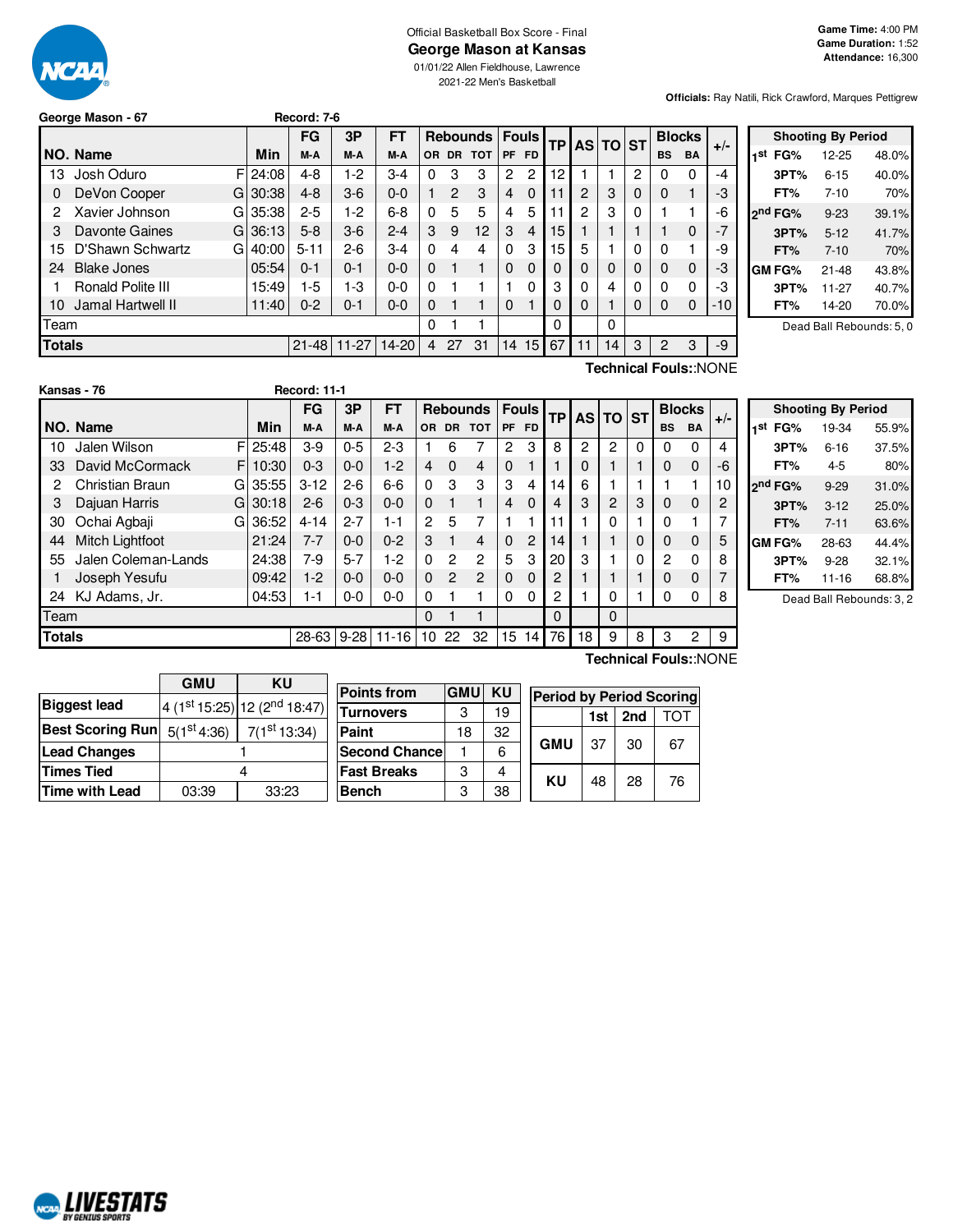

### Official Basketball Box Score - Final **George Mason at Kansas**

01/01/22 Allen Fieldhouse, Lawrence 2021-22 Men's Basketball

**Officials:** Ray Natili, Rick Crawford, Marques Pettigrew

| George Mason - 67 |  |  |
|-------------------|--|--|
|                   |  |  |

|               |                       |       | FG        | 3P        | <b>FT</b> |             |                |            | Rebounds   Fouls |          | <b>TPI</b> |              | AS TO ST |   | <b>Blocks</b> |             | $+/-$ |
|---------------|-----------------------|-------|-----------|-----------|-----------|-------------|----------------|------------|------------------|----------|------------|--------------|----------|---|---------------|-------------|-------|
|               | NO. Name              | Min   | M-A       | M-A       | M-A       | OR.         | <b>DR</b>      | <b>TOT</b> |                  | PF FD    |            |              |          |   | <b>BS</b>     | <b>BA</b>   |       |
| 13            | Josh Oduro<br>FI      | 24:08 | $4 - 8$   | $1-2$     | $3-4$     | 0           | 3              | 3          | 2                | 2        | 12         |              |          | 2 |               | $\Omega$    | -4    |
| 0             | DeVon Cooper<br>GI    | 30:38 | $4 - 8$   | $3-6$     | $0 - 0$   | 1           | $\overline{2}$ | 3          | 4                | $\Omega$ | 11         | 2            | 3        | 0 | 0             |             | -3    |
| 2             | Xavier Johnson<br>GI  | 35:38 | $2 - 5$   | $1-2$     | $6 - 8$   | $\Omega$    | 5              | 5          | 4                | 5        | 11         | 2            | 3        | 0 |               |             | -6    |
| З             | Davonte Gaines<br>GI  | 36:13 | $5 - 8$   | $3-6$     | $2 - 4$   | 3           | 9              | 12         | 3                | 4        | 15         |              |          |   |               | $\Omega$    | $-7$  |
| 15            | D'Shawn Schwartz<br>G | 40:00 | $5 - 11$  | $2-6$     | $3-4$     | $\Omega$    | 4              | 4          | $\Omega$         | 3        | 15         | 5            |          | 0 | 0             |             | -9    |
| 24            | <b>Blake Jones</b>    | 05:54 | $0 - 1$   | $0 - 1$   | $0 - 0$   | $\Omega$    |                |            | $\Omega$         | $\Omega$ | 0          | $\mathbf 0$  | 0        | 0 | 0             | $\mathbf 0$ | -3    |
|               | Ronald Polite III     | 15:49 | 1-5       | 1-3       | $0 - 0$   | $\Omega$    |                |            |                  | 0        | 3          | $\mathbf{0}$ | 4        | 0 | 0             | $\Omega$    | -3    |
| 10            | Jamal Hartwell II     | 11:40 | $0 - 2$   | $0 - 1$   | $0 - 0$   | $\mathbf 0$ |                |            | $\Omega$         |          | 0          | $\Omega$     |          | 0 | 0             | $\mathbf 0$ | $-10$ |
| Team          |                       |       |           |           |           | 0           |                |            |                  |          | 0          |              | 0        |   |               |             |       |
| <b>Totals</b> |                       |       | $21 - 48$ | $11 - 27$ | $14 - 20$ | 4           | 27             | 31         | 14               | 15       | 67         | 11           | 14       | 3 | 2             | 3           | $-9$  |
|               | Technical Fouls::NONE |       |           |           |           |             |                |            |                  |          |            |              |          |   |               |             |       |

**George Mason - 67 Record: 7-6**

| <b>Shooting By Period</b> |               |           |       |  |  |  |  |  |  |
|---------------------------|---------------|-----------|-------|--|--|--|--|--|--|
| 1st                       | FG%           | 12-25     | 48.0% |  |  |  |  |  |  |
|                           | 3PT%          | $6 - 15$  | 40.0% |  |  |  |  |  |  |
|                           | FT%           | $7 - 10$  | 70%   |  |  |  |  |  |  |
|                           | 2nd FG%       | $9 - 23$  | 39.1% |  |  |  |  |  |  |
|                           | 3PT%          | $5 - 12$  | 41.7% |  |  |  |  |  |  |
|                           | FT%           | $7 - 10$  | 70%   |  |  |  |  |  |  |
|                           | <b>GM FG%</b> | $21 - 48$ | 43.8% |  |  |  |  |  |  |
|                           | 3PT%          | $11 - 27$ | 40.7% |  |  |  |  |  |  |
|                           | FT%           | 14-20     | 70.0% |  |  |  |  |  |  |

Dead Ball Rebounds: 5, 0

|               |                     |    |             | FG       | 3P       | FT      |                |                | <b>Rebounds</b> |           | <b>Fouls</b> | ТP       |    | AS TO ST |   |           | <b>Blocks</b> | $+/-$ |
|---------------|---------------------|----|-------------|----------|----------|---------|----------------|----------------|-----------------|-----------|--------------|----------|----|----------|---|-----------|---------------|-------|
|               | NO. Name            |    | Min         | M-A      | M-A      | M-A     | OR.            | DR.            | <b>TOT</b>      | <b>PF</b> | <b>FD</b>    |          |    |          |   | <b>BS</b> | <b>BA</b>     |       |
| 10            | Jalen Wilson        |    | $F$   25:48 | $3-9$    | $0 - 5$  | $2-3$   |                | 6              | 7               | 2         | 3            | 8        | 2  | 2        | 0 | 0         | 0             | 4     |
| 33            | David McCormack     | FI | 10:30       | $0 - 3$  | $0 - 0$  | $1-2$   | 4              | $\Omega$       | $\overline{4}$  | $\Omega$  |              |          | 0  |          |   | 0         | $\Omega$      | -6    |
| 2             | Christian Braun     |    | GI 35:55    | $3 - 12$ | $2 - 6$  | $6-6$   | $\Omega$       | 3              | 3               | 3         | 4            | 14       | 6  |          |   |           |               | 10    |
| 3             | Dajuan Harris       | G  | 30:18       | $2 - 6$  | $0 - 3$  | $0 - 0$ | $\Omega$       |                | 1               | 4         | $\Omega$     | 4        | 3  | 2        | 3 | $\Omega$  | $\mathbf 0$   | 2     |
| 30            | Ochai Agbaji        |    | GI 36:52    | $4 - 14$ | $2 - 7$  | 1-1     | $\overline{2}$ | 5              | 7               |           |              | 11       |    | 0        | 1 | 0         |               |       |
| 44            | Mitch Lightfoot     |    | 21:24       | $7 - 7$  | $0 - 0$  | $0 - 2$ | 3              |                | 4               | $\Omega$  | 2            | 14       |    |          | 0 | 0         | $\Omega$      | 5     |
| 55            | Jalen Coleman-Lands |    | 24:38       | $7-9$    | $5 - 7$  | $1-2$   | 0              | $\overline{c}$ | $\overline{c}$  | 5         | 3            | 20       | 3  |          | 0 | 2         | 0             | 8     |
|               | Joseph Yesufu       |    | 09:42       | $1-2$    | $0 - 0$  | $0 - 0$ | $\Omega$       | $\overline{2}$ | $\overline{2}$  | $\Omega$  | $\Omega$     | 2        |    |          |   | 0         | 0             |       |
| 24            | KJ Adams, Jr.       |    | 04:53       | $1 - 1$  | $0 - 0$  | $0 - 0$ | 0              |                |                 | $\Omega$  | 0            | 2        |    | 0        |   | 0         | 0             | 8     |
| Team          |                     |    |             |          |          |         | $\Omega$       |                |                 |           |              | $\Omega$ |    | 0        |   |           |               |       |
| <b>Totals</b> |                     |    |             | 28-63    | $9 - 28$ | 11-16   | 10             | 22             | 32              | 15        | 14           | 76       | 18 | 9        | 8 | 3         | 2             | 9     |

| <b>Shooting By Period</b> |                     |          |                         |  |  |  |  |  |
|---------------------------|---------------------|----------|-------------------------|--|--|--|--|--|
| 1st                       | FG%                 | 19-34    | 55.9%                   |  |  |  |  |  |
|                           | 3PT%                | 6-16     | 37.5%                   |  |  |  |  |  |
|                           | FT%                 | 4-5      | 80%                     |  |  |  |  |  |
|                           | 2 <sup>nd</sup> FG% | $9 - 29$ | 31.0%                   |  |  |  |  |  |
|                           | 3PT%                | $3 - 12$ | 25.0%                   |  |  |  |  |  |
|                           | FT%                 | $7 - 11$ | 63.6%                   |  |  |  |  |  |
|                           | <b>GM FG%</b>       | 28-63    | 44.4%                   |  |  |  |  |  |
|                           | 3PT%                | $9 - 28$ | 32.1%                   |  |  |  |  |  |
|                           | FT%                 | 11-16    | 68.8%                   |  |  |  |  |  |
|                           |                     |          | Dead Ball Rebounds: 3.2 |  |  |  |  |  |

**Technical Fouls:**:NONE

|                         | <b>GMU</b>      | KU                                       | Po |  |  |
|-------------------------|-----------------|------------------------------------------|----|--|--|
| <b>Biggest lead</b>     |                 | 4 (1st 15:25) 12 (2 <sup>nd</sup> 18:47) | Tu |  |  |
| <b>Best Scoring Run</b> | $5(1^{st}4:36)$ | 7(1 <sup>st</sup> 13:34)                 | Pa |  |  |
| <b>Lead Changes</b>     |                 |                                          |    |  |  |
| <b>Times Tied</b>       |                 |                                          |    |  |  |
| <b>Time with Lead</b>   | 03:39           | 33:23                                    | Bе |  |  |
|                         |                 |                                          |    |  |  |

| <b>Points from</b>    | <b>GMU</b> | ΚU | <b>Period by Period Scoring</b> |     |     |     |  |  |
|-----------------------|------------|----|---------------------------------|-----|-----|-----|--|--|
| <b>Turnovers</b>      | 3          | 19 |                                 | 1st | 2nd | ΤΩΤ |  |  |
| Paint                 | 18         | 32 |                                 |     | 30  |     |  |  |
| <b>Second Chancel</b> |            | 6  | <b>GMU</b>                      | 37  |     | 67  |  |  |
| <b>Fast Breaks</b>    | з          |    |                                 |     |     |     |  |  |
| <b>Bench</b>          | з          | 38 | ΚU                              | 48  | 28  | 76  |  |  |

NCAL LIVESTATS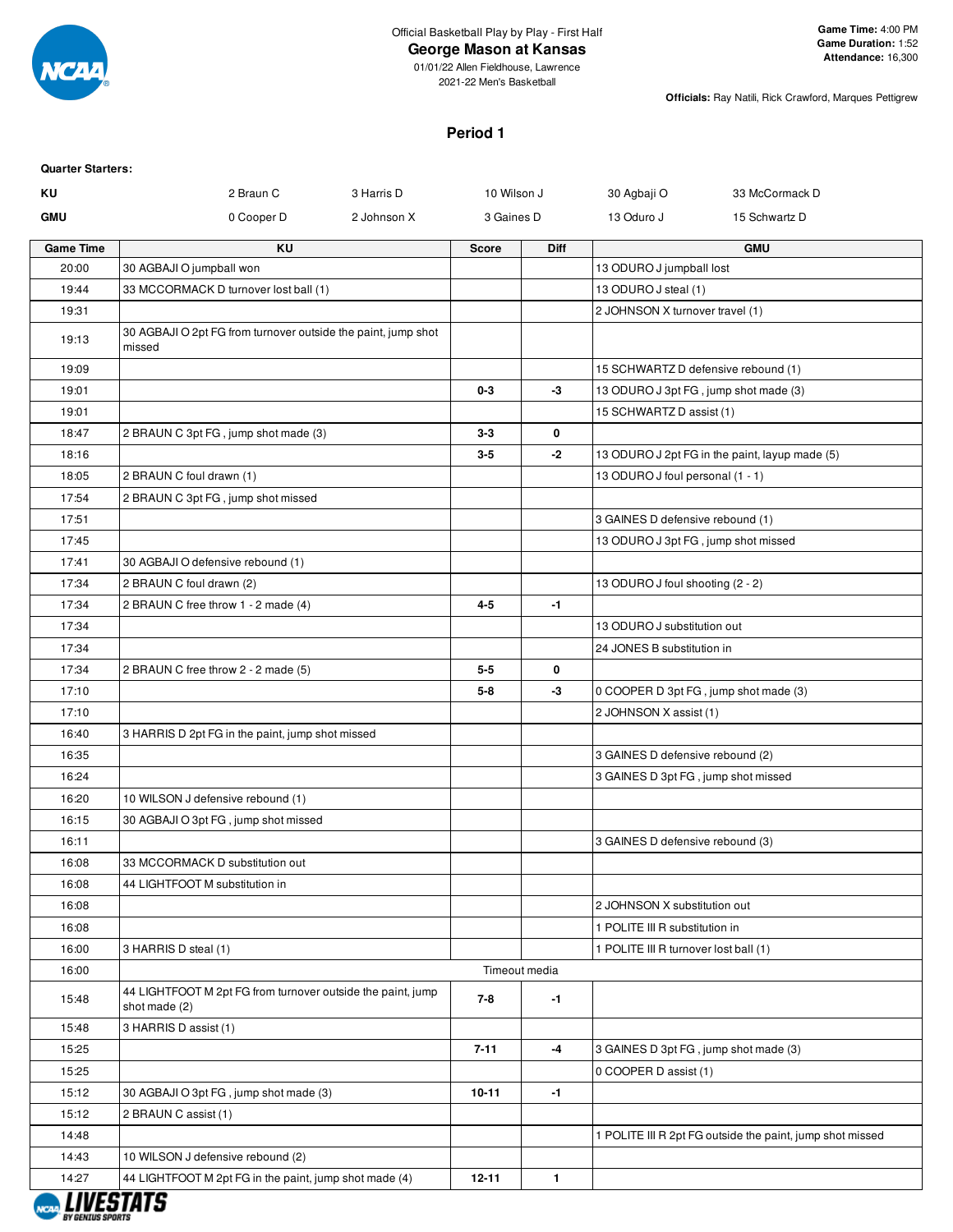

### **George Mason at Kansas**

01/01/22 Allen Fieldhouse, Lawrence 2021-22 Men's Basketball

**Officials:** Ray Natili, Rick Crawford, Marques Pettigrew

#### **Period 1**

| <b>Quarter Starters:</b> |                                                                              |             |              |               |                                       |                                                           |
|--------------------------|------------------------------------------------------------------------------|-------------|--------------|---------------|---------------------------------------|-----------------------------------------------------------|
| ΚU                       | 2 Braun C                                                                    | 3 Harris D  | 10 Wilson J  |               | 30 Agbaji O                           | 33 McCormack D                                            |
| <b>GMU</b>               | 0 Cooper D                                                                   | 2 Johnson X | 3 Gaines D   |               | 13 Oduro J                            | 15 Schwartz D                                             |
| <b>Game Time</b>         | KU                                                                           |             | <b>Score</b> | Diff          |                                       | <b>GMU</b>                                                |
| 20:00                    | 30 AGBAJI O jumpball won                                                     |             |              |               | 13 ODURO J jumpball lost              |                                                           |
| 19:44                    | 33 MCCORMACK D turnover lost ball (1)                                        |             |              |               | 13 ODURO J steal (1)                  |                                                           |
| 19:31                    |                                                                              |             |              |               | 2 JOHNSON X turnover travel (1)       |                                                           |
| 19:13                    | 30 AGBAJI O 2pt FG from turnover outside the paint, jump shot<br>missed      |             |              |               |                                       |                                                           |
| 19:09                    |                                                                              |             |              |               | 15 SCHWARTZ D defensive rebound (1)   |                                                           |
| 19:01                    |                                                                              |             | $0 - 3$      | -3            | 13 ODURO J 3pt FG, jump shot made (3) |                                                           |
| 19:01                    |                                                                              |             |              |               | 15 SCHWARTZ D assist (1)              |                                                           |
| 18:47                    | 2 BRAUN C 3pt FG, jump shot made (3)                                         |             | $3 - 3$      | 0             |                                       |                                                           |
| 18:16                    |                                                                              |             | $3 - 5$      | -2            |                                       | 13 ODURO J 2pt FG in the paint, layup made (5)            |
| 18:05                    | 2 BRAUN C foul drawn (1)                                                     |             |              |               | 13 ODURO J foul personal (1 - 1)      |                                                           |
| 17:54                    | 2 BRAUN C 3pt FG, jump shot missed                                           |             |              |               |                                       |                                                           |
| 17:51                    |                                                                              |             |              |               | 3 GAINES D defensive rebound (1)      |                                                           |
| 17:45                    |                                                                              |             |              |               | 13 ODURO J 3pt FG, jump shot missed   |                                                           |
| 17:41                    | 30 AGBAJI O defensive rebound (1)                                            |             |              |               |                                       |                                                           |
| 17:34                    | 2 BRAUN C foul drawn (2)                                                     |             |              |               | 13 ODURO J foul shooting (2 - 2)      |                                                           |
| 17:34                    | 2 BRAUN C free throw 1 - 2 made (4)                                          |             | $4 - 5$      | $-1$          |                                       |                                                           |
| 17:34                    |                                                                              |             |              |               | 13 ODURO J substitution out           |                                                           |
| 17:34                    |                                                                              |             |              |               | 24 JONES B substitution in            |                                                           |
| 17:34                    | 2 BRAUN C free throw 2 - 2 made (5)                                          |             | $5 - 5$      | 0             |                                       |                                                           |
| 17:10                    |                                                                              |             | $5 - 8$      | -3            | 0 COOPER D 3pt FG, jump shot made (3) |                                                           |
| 17:10                    |                                                                              |             |              |               | 2 JOHNSON X assist (1)                |                                                           |
| 16:40                    | 3 HARRIS D 2pt FG in the paint, jump shot missed                             |             |              |               |                                       |                                                           |
| 16:35                    |                                                                              |             |              |               | 3 GAINES D defensive rebound (2)      |                                                           |
| 16:24                    |                                                                              |             |              |               | 3 GAINES D 3pt FG, jump shot missed   |                                                           |
| 16:20                    | 10 WILSON J defensive rebound (1)                                            |             |              |               |                                       |                                                           |
| 16:15                    | 30 AGBAJI O 3pt FG, jump shot missed                                         |             |              |               |                                       |                                                           |
| 16:11                    |                                                                              |             |              |               | 3 GAINES D defensive rebound (3)      |                                                           |
| 16:08                    | 33 MCCORMACK D substitution out                                              |             |              |               |                                       |                                                           |
| 16:08                    | 44 LIGHTFOOT M substitution in                                               |             |              |               |                                       |                                                           |
| 16:08                    |                                                                              |             |              |               | 2 JOHNSON X substitution out          |                                                           |
| 16:08                    |                                                                              |             |              |               | 1 POLITE III R substitution in        |                                                           |
| 16:00                    | 3 HARRIS D steal (1)                                                         |             |              |               | 1 POLITE III R turnover lost ball (1) |                                                           |
| 16:00                    |                                                                              |             |              | Timeout media |                                       |                                                           |
| 15:48                    | 44 LIGHTFOOT M 2pt FG from turnover outside the paint, jump<br>shot made (2) |             | 7-8          | $-1$          |                                       |                                                           |
| 15:48                    | 3 HARRIS D assist (1)                                                        |             |              |               |                                       |                                                           |
| 15:25                    |                                                                              |             | $7 - 11$     | -4            | 3 GAINES D 3pt FG, jump shot made (3) |                                                           |
| 15:25                    |                                                                              |             |              |               | 0 COOPER D assist (1)                 |                                                           |
| 15:12                    | 30 AGBAJI O 3pt FG, jump shot made (3)                                       |             | $10 - 11$    | $-1$          |                                       |                                                           |
| 15:12                    | 2 BRAUN C assist (1)                                                         |             |              |               |                                       |                                                           |
| 14:48                    |                                                                              |             |              |               |                                       | 1 POLITE III R 2pt FG outside the paint, jump shot missed |
| 14:43                    | 10 WILSON J defensive rebound (2)                                            |             |              |               |                                       |                                                           |
| 14:27                    | 44 LIGHTFOOT M 2pt FG in the paint, jump shot made (4)                       |             | $12 - 11$    | $\mathbf{1}$  |                                       |                                                           |
|                          |                                                                              |             |              |               |                                       |                                                           |

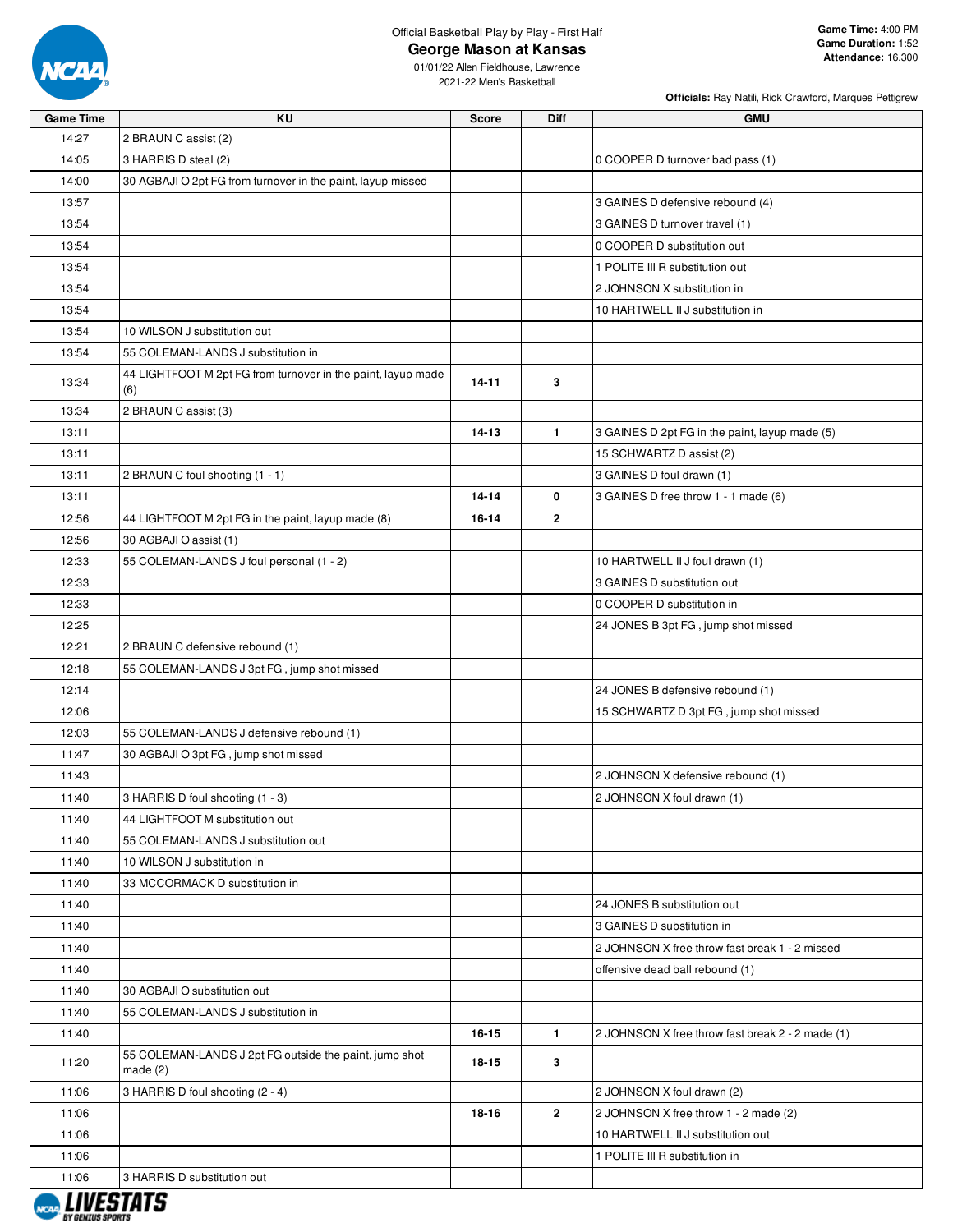

**George Mason at Kansas**

**Officials:** Ray Natili, Rick Crawford, Marques Pettigrew

| 2 BRAUN C assist (2)<br>14:27<br>14:05<br>3 HARRIS D steal (2)<br>0 COOPER D turnover bad pass (1)<br>14:00<br>30 AGBAJI O 2pt FG from turnover in the paint, layup missed<br>13:57<br>3 GAINES D defensive rebound (4)<br>13:54<br>3 GAINES D turnover travel (1)<br>0 COOPER D substitution out<br>13:54<br>1 POLITE III R substitution out<br>13:54<br>13:54<br>2 JOHNSON X substitution in<br>13:54<br>10 HARTWELL II J substitution in<br>13:54<br>10 WILSON J substitution out<br>55 COLEMAN-LANDS J substitution in<br>13:54<br>44 LIGHTFOOT M 2pt FG from turnover in the paint, layup made<br>3<br>13:34<br>$14 - 11$<br>(6)<br>13:34<br>2 BRAUN C assist (3)<br>$14 - 13$<br>$\mathbf{1}$<br>3 GAINES D 2pt FG in the paint, layup made (5)<br>13:11<br>15 SCHWARTZ D assist (2)<br>13:11<br>13:11<br>2 BRAUN C foul shooting (1 - 1)<br>3 GAINES D foul drawn (1)<br>0<br>13:11<br>$14 - 14$<br>3 GAINES D free throw 1 - 1 made (6)<br>12:56<br>$\mathbf{2}$<br>44 LIGHTFOOT M 2pt FG in the paint, layup made (8)<br>16-14<br>30 AGBAJI O assist (1)<br>12:56<br>55 COLEMAN-LANDS J foul personal (1 - 2)<br>12:33<br>10 HARTWELL II J foul drawn (1)<br>12:33<br>3 GAINES D substitution out<br>12:33<br>0 COOPER D substitution in<br>12:25<br>24 JONES B 3pt FG, jump shot missed<br>12:21<br>2 BRAUN C defensive rebound (1)<br>12:18<br>55 COLEMAN-LANDS J 3pt FG, jump shot missed<br>12:14<br>24 JONES B defensive rebound (1)<br>12:06<br>15 SCHWARTZ D 3pt FG, jump shot missed<br>12:03<br>55 COLEMAN-LANDS J defensive rebound (1)<br>11:47<br>30 AGBAJI O 3pt FG, jump shot missed<br>11:43<br>2 JOHNSON X defensive rebound (1)<br>11:40<br>3 HARRIS D foul shooting (1 - 3)<br>2 JOHNSON X foul drawn (1)<br>11:40<br>44 LIGHTFOOT M substitution out<br>11:40<br>55 COLEMAN-LANDS J substitution out<br>11:40<br>10 WILSON J substitution in<br>11:40<br>33 MCCORMACK D substitution in<br>11:40<br>24 JONES B substitution out<br>11:40<br>3 GAINES D substitution in<br>11:40<br>2 JOHNSON X free throw fast break 1 - 2 missed<br>11:40<br>offensive dead ball rebound (1)<br>11:40<br>30 AGBAJI O substitution out<br>11:40<br>55 COLEMAN-LANDS J substitution in<br>$\mathbf{1}$<br>11:40<br>16-15<br>2 JOHNSON X free throw fast break 2 - 2 made (1)<br>55 COLEMAN-LANDS J 2pt FG outside the paint, jump shot<br>11:20<br>18-15<br>3<br>made $(2)$<br>11:06<br>3 HARRIS D foul shooting (2 - 4)<br>2 JOHNSON X foul drawn (2)<br>$\overline{2}$<br>11:06<br>2 JOHNSON X free throw 1 - 2 made (2)<br>18-16<br>11:06<br>10 HARTWELL II J substitution out<br>11:06<br>1 POLITE III R substitution in<br>11:06<br>3 HARRIS D substitution out | <b>Game Time</b> | KU | <b>Score</b> | <b>Diff</b> | <b>GMU</b> |
|---------------------------------------------------------------------------------------------------------------------------------------------------------------------------------------------------------------------------------------------------------------------------------------------------------------------------------------------------------------------------------------------------------------------------------------------------------------------------------------------------------------------------------------------------------------------------------------------------------------------------------------------------------------------------------------------------------------------------------------------------------------------------------------------------------------------------------------------------------------------------------------------------------------------------------------------------------------------------------------------------------------------------------------------------------------------------------------------------------------------------------------------------------------------------------------------------------------------------------------------------------------------------------------------------------------------------------------------------------------------------------------------------------------------------------------------------------------------------------------------------------------------------------------------------------------------------------------------------------------------------------------------------------------------------------------------------------------------------------------------------------------------------------------------------------------------------------------------------------------------------------------------------------------------------------------------------------------------------------------------------------------------------------------------------------------------------------------------------------------------------------------------------------------------------------------------------------------------------------------------------------------------------------------------------------------------------------------------------------------------------------------------------------------------------------------------------------------------------------------------------------------------------------------------------------------------------------------------------------------------------------------------------------------------------------|------------------|----|--------------|-------------|------------|
|                                                                                                                                                                                                                                                                                                                                                                                                                                                                                                                                                                                                                                                                                                                                                                                                                                                                                                                                                                                                                                                                                                                                                                                                                                                                                                                                                                                                                                                                                                                                                                                                                                                                                                                                                                                                                                                                                                                                                                                                                                                                                                                                                                                                                                                                                                                                                                                                                                                                                                                                                                                                                                                                                 |                  |    |              |             |            |
|                                                                                                                                                                                                                                                                                                                                                                                                                                                                                                                                                                                                                                                                                                                                                                                                                                                                                                                                                                                                                                                                                                                                                                                                                                                                                                                                                                                                                                                                                                                                                                                                                                                                                                                                                                                                                                                                                                                                                                                                                                                                                                                                                                                                                                                                                                                                                                                                                                                                                                                                                                                                                                                                                 |                  |    |              |             |            |
|                                                                                                                                                                                                                                                                                                                                                                                                                                                                                                                                                                                                                                                                                                                                                                                                                                                                                                                                                                                                                                                                                                                                                                                                                                                                                                                                                                                                                                                                                                                                                                                                                                                                                                                                                                                                                                                                                                                                                                                                                                                                                                                                                                                                                                                                                                                                                                                                                                                                                                                                                                                                                                                                                 |                  |    |              |             |            |
|                                                                                                                                                                                                                                                                                                                                                                                                                                                                                                                                                                                                                                                                                                                                                                                                                                                                                                                                                                                                                                                                                                                                                                                                                                                                                                                                                                                                                                                                                                                                                                                                                                                                                                                                                                                                                                                                                                                                                                                                                                                                                                                                                                                                                                                                                                                                                                                                                                                                                                                                                                                                                                                                                 |                  |    |              |             |            |
|                                                                                                                                                                                                                                                                                                                                                                                                                                                                                                                                                                                                                                                                                                                                                                                                                                                                                                                                                                                                                                                                                                                                                                                                                                                                                                                                                                                                                                                                                                                                                                                                                                                                                                                                                                                                                                                                                                                                                                                                                                                                                                                                                                                                                                                                                                                                                                                                                                                                                                                                                                                                                                                                                 |                  |    |              |             |            |
|                                                                                                                                                                                                                                                                                                                                                                                                                                                                                                                                                                                                                                                                                                                                                                                                                                                                                                                                                                                                                                                                                                                                                                                                                                                                                                                                                                                                                                                                                                                                                                                                                                                                                                                                                                                                                                                                                                                                                                                                                                                                                                                                                                                                                                                                                                                                                                                                                                                                                                                                                                                                                                                                                 |                  |    |              |             |            |
|                                                                                                                                                                                                                                                                                                                                                                                                                                                                                                                                                                                                                                                                                                                                                                                                                                                                                                                                                                                                                                                                                                                                                                                                                                                                                                                                                                                                                                                                                                                                                                                                                                                                                                                                                                                                                                                                                                                                                                                                                                                                                                                                                                                                                                                                                                                                                                                                                                                                                                                                                                                                                                                                                 |                  |    |              |             |            |
|                                                                                                                                                                                                                                                                                                                                                                                                                                                                                                                                                                                                                                                                                                                                                                                                                                                                                                                                                                                                                                                                                                                                                                                                                                                                                                                                                                                                                                                                                                                                                                                                                                                                                                                                                                                                                                                                                                                                                                                                                                                                                                                                                                                                                                                                                                                                                                                                                                                                                                                                                                                                                                                                                 |                  |    |              |             |            |
|                                                                                                                                                                                                                                                                                                                                                                                                                                                                                                                                                                                                                                                                                                                                                                                                                                                                                                                                                                                                                                                                                                                                                                                                                                                                                                                                                                                                                                                                                                                                                                                                                                                                                                                                                                                                                                                                                                                                                                                                                                                                                                                                                                                                                                                                                                                                                                                                                                                                                                                                                                                                                                                                                 |                  |    |              |             |            |
|                                                                                                                                                                                                                                                                                                                                                                                                                                                                                                                                                                                                                                                                                                                                                                                                                                                                                                                                                                                                                                                                                                                                                                                                                                                                                                                                                                                                                                                                                                                                                                                                                                                                                                                                                                                                                                                                                                                                                                                                                                                                                                                                                                                                                                                                                                                                                                                                                                                                                                                                                                                                                                                                                 |                  |    |              |             |            |
|                                                                                                                                                                                                                                                                                                                                                                                                                                                                                                                                                                                                                                                                                                                                                                                                                                                                                                                                                                                                                                                                                                                                                                                                                                                                                                                                                                                                                                                                                                                                                                                                                                                                                                                                                                                                                                                                                                                                                                                                                                                                                                                                                                                                                                                                                                                                                                                                                                                                                                                                                                                                                                                                                 |                  |    |              |             |            |
|                                                                                                                                                                                                                                                                                                                                                                                                                                                                                                                                                                                                                                                                                                                                                                                                                                                                                                                                                                                                                                                                                                                                                                                                                                                                                                                                                                                                                                                                                                                                                                                                                                                                                                                                                                                                                                                                                                                                                                                                                                                                                                                                                                                                                                                                                                                                                                                                                                                                                                                                                                                                                                                                                 |                  |    |              |             |            |
|                                                                                                                                                                                                                                                                                                                                                                                                                                                                                                                                                                                                                                                                                                                                                                                                                                                                                                                                                                                                                                                                                                                                                                                                                                                                                                                                                                                                                                                                                                                                                                                                                                                                                                                                                                                                                                                                                                                                                                                                                                                                                                                                                                                                                                                                                                                                                                                                                                                                                                                                                                                                                                                                                 |                  |    |              |             |            |
|                                                                                                                                                                                                                                                                                                                                                                                                                                                                                                                                                                                                                                                                                                                                                                                                                                                                                                                                                                                                                                                                                                                                                                                                                                                                                                                                                                                                                                                                                                                                                                                                                                                                                                                                                                                                                                                                                                                                                                                                                                                                                                                                                                                                                                                                                                                                                                                                                                                                                                                                                                                                                                                                                 |                  |    |              |             |            |
|                                                                                                                                                                                                                                                                                                                                                                                                                                                                                                                                                                                                                                                                                                                                                                                                                                                                                                                                                                                                                                                                                                                                                                                                                                                                                                                                                                                                                                                                                                                                                                                                                                                                                                                                                                                                                                                                                                                                                                                                                                                                                                                                                                                                                                                                                                                                                                                                                                                                                                                                                                                                                                                                                 |                  |    |              |             |            |
|                                                                                                                                                                                                                                                                                                                                                                                                                                                                                                                                                                                                                                                                                                                                                                                                                                                                                                                                                                                                                                                                                                                                                                                                                                                                                                                                                                                                                                                                                                                                                                                                                                                                                                                                                                                                                                                                                                                                                                                                                                                                                                                                                                                                                                                                                                                                                                                                                                                                                                                                                                                                                                                                                 |                  |    |              |             |            |
|                                                                                                                                                                                                                                                                                                                                                                                                                                                                                                                                                                                                                                                                                                                                                                                                                                                                                                                                                                                                                                                                                                                                                                                                                                                                                                                                                                                                                                                                                                                                                                                                                                                                                                                                                                                                                                                                                                                                                                                                                                                                                                                                                                                                                                                                                                                                                                                                                                                                                                                                                                                                                                                                                 |                  |    |              |             |            |
|                                                                                                                                                                                                                                                                                                                                                                                                                                                                                                                                                                                                                                                                                                                                                                                                                                                                                                                                                                                                                                                                                                                                                                                                                                                                                                                                                                                                                                                                                                                                                                                                                                                                                                                                                                                                                                                                                                                                                                                                                                                                                                                                                                                                                                                                                                                                                                                                                                                                                                                                                                                                                                                                                 |                  |    |              |             |            |
|                                                                                                                                                                                                                                                                                                                                                                                                                                                                                                                                                                                                                                                                                                                                                                                                                                                                                                                                                                                                                                                                                                                                                                                                                                                                                                                                                                                                                                                                                                                                                                                                                                                                                                                                                                                                                                                                                                                                                                                                                                                                                                                                                                                                                                                                                                                                                                                                                                                                                                                                                                                                                                                                                 |                  |    |              |             |            |
|                                                                                                                                                                                                                                                                                                                                                                                                                                                                                                                                                                                                                                                                                                                                                                                                                                                                                                                                                                                                                                                                                                                                                                                                                                                                                                                                                                                                                                                                                                                                                                                                                                                                                                                                                                                                                                                                                                                                                                                                                                                                                                                                                                                                                                                                                                                                                                                                                                                                                                                                                                                                                                                                                 |                  |    |              |             |            |
|                                                                                                                                                                                                                                                                                                                                                                                                                                                                                                                                                                                                                                                                                                                                                                                                                                                                                                                                                                                                                                                                                                                                                                                                                                                                                                                                                                                                                                                                                                                                                                                                                                                                                                                                                                                                                                                                                                                                                                                                                                                                                                                                                                                                                                                                                                                                                                                                                                                                                                                                                                                                                                                                                 |                  |    |              |             |            |
|                                                                                                                                                                                                                                                                                                                                                                                                                                                                                                                                                                                                                                                                                                                                                                                                                                                                                                                                                                                                                                                                                                                                                                                                                                                                                                                                                                                                                                                                                                                                                                                                                                                                                                                                                                                                                                                                                                                                                                                                                                                                                                                                                                                                                                                                                                                                                                                                                                                                                                                                                                                                                                                                                 |                  |    |              |             |            |
|                                                                                                                                                                                                                                                                                                                                                                                                                                                                                                                                                                                                                                                                                                                                                                                                                                                                                                                                                                                                                                                                                                                                                                                                                                                                                                                                                                                                                                                                                                                                                                                                                                                                                                                                                                                                                                                                                                                                                                                                                                                                                                                                                                                                                                                                                                                                                                                                                                                                                                                                                                                                                                                                                 |                  |    |              |             |            |
|                                                                                                                                                                                                                                                                                                                                                                                                                                                                                                                                                                                                                                                                                                                                                                                                                                                                                                                                                                                                                                                                                                                                                                                                                                                                                                                                                                                                                                                                                                                                                                                                                                                                                                                                                                                                                                                                                                                                                                                                                                                                                                                                                                                                                                                                                                                                                                                                                                                                                                                                                                                                                                                                                 |                  |    |              |             |            |
|                                                                                                                                                                                                                                                                                                                                                                                                                                                                                                                                                                                                                                                                                                                                                                                                                                                                                                                                                                                                                                                                                                                                                                                                                                                                                                                                                                                                                                                                                                                                                                                                                                                                                                                                                                                                                                                                                                                                                                                                                                                                                                                                                                                                                                                                                                                                                                                                                                                                                                                                                                                                                                                                                 |                  |    |              |             |            |
|                                                                                                                                                                                                                                                                                                                                                                                                                                                                                                                                                                                                                                                                                                                                                                                                                                                                                                                                                                                                                                                                                                                                                                                                                                                                                                                                                                                                                                                                                                                                                                                                                                                                                                                                                                                                                                                                                                                                                                                                                                                                                                                                                                                                                                                                                                                                                                                                                                                                                                                                                                                                                                                                                 |                  |    |              |             |            |
|                                                                                                                                                                                                                                                                                                                                                                                                                                                                                                                                                                                                                                                                                                                                                                                                                                                                                                                                                                                                                                                                                                                                                                                                                                                                                                                                                                                                                                                                                                                                                                                                                                                                                                                                                                                                                                                                                                                                                                                                                                                                                                                                                                                                                                                                                                                                                                                                                                                                                                                                                                                                                                                                                 |                  |    |              |             |            |
|                                                                                                                                                                                                                                                                                                                                                                                                                                                                                                                                                                                                                                                                                                                                                                                                                                                                                                                                                                                                                                                                                                                                                                                                                                                                                                                                                                                                                                                                                                                                                                                                                                                                                                                                                                                                                                                                                                                                                                                                                                                                                                                                                                                                                                                                                                                                                                                                                                                                                                                                                                                                                                                                                 |                  |    |              |             |            |
|                                                                                                                                                                                                                                                                                                                                                                                                                                                                                                                                                                                                                                                                                                                                                                                                                                                                                                                                                                                                                                                                                                                                                                                                                                                                                                                                                                                                                                                                                                                                                                                                                                                                                                                                                                                                                                                                                                                                                                                                                                                                                                                                                                                                                                                                                                                                                                                                                                                                                                                                                                                                                                                                                 |                  |    |              |             |            |
|                                                                                                                                                                                                                                                                                                                                                                                                                                                                                                                                                                                                                                                                                                                                                                                                                                                                                                                                                                                                                                                                                                                                                                                                                                                                                                                                                                                                                                                                                                                                                                                                                                                                                                                                                                                                                                                                                                                                                                                                                                                                                                                                                                                                                                                                                                                                                                                                                                                                                                                                                                                                                                                                                 |                  |    |              |             |            |
|                                                                                                                                                                                                                                                                                                                                                                                                                                                                                                                                                                                                                                                                                                                                                                                                                                                                                                                                                                                                                                                                                                                                                                                                                                                                                                                                                                                                                                                                                                                                                                                                                                                                                                                                                                                                                                                                                                                                                                                                                                                                                                                                                                                                                                                                                                                                                                                                                                                                                                                                                                                                                                                                                 |                  |    |              |             |            |
|                                                                                                                                                                                                                                                                                                                                                                                                                                                                                                                                                                                                                                                                                                                                                                                                                                                                                                                                                                                                                                                                                                                                                                                                                                                                                                                                                                                                                                                                                                                                                                                                                                                                                                                                                                                                                                                                                                                                                                                                                                                                                                                                                                                                                                                                                                                                                                                                                                                                                                                                                                                                                                                                                 |                  |    |              |             |            |
|                                                                                                                                                                                                                                                                                                                                                                                                                                                                                                                                                                                                                                                                                                                                                                                                                                                                                                                                                                                                                                                                                                                                                                                                                                                                                                                                                                                                                                                                                                                                                                                                                                                                                                                                                                                                                                                                                                                                                                                                                                                                                                                                                                                                                                                                                                                                                                                                                                                                                                                                                                                                                                                                                 |                  |    |              |             |            |
|                                                                                                                                                                                                                                                                                                                                                                                                                                                                                                                                                                                                                                                                                                                                                                                                                                                                                                                                                                                                                                                                                                                                                                                                                                                                                                                                                                                                                                                                                                                                                                                                                                                                                                                                                                                                                                                                                                                                                                                                                                                                                                                                                                                                                                                                                                                                                                                                                                                                                                                                                                                                                                                                                 |                  |    |              |             |            |
|                                                                                                                                                                                                                                                                                                                                                                                                                                                                                                                                                                                                                                                                                                                                                                                                                                                                                                                                                                                                                                                                                                                                                                                                                                                                                                                                                                                                                                                                                                                                                                                                                                                                                                                                                                                                                                                                                                                                                                                                                                                                                                                                                                                                                                                                                                                                                                                                                                                                                                                                                                                                                                                                                 |                  |    |              |             |            |
|                                                                                                                                                                                                                                                                                                                                                                                                                                                                                                                                                                                                                                                                                                                                                                                                                                                                                                                                                                                                                                                                                                                                                                                                                                                                                                                                                                                                                                                                                                                                                                                                                                                                                                                                                                                                                                                                                                                                                                                                                                                                                                                                                                                                                                                                                                                                                                                                                                                                                                                                                                                                                                                                                 |                  |    |              |             |            |
|                                                                                                                                                                                                                                                                                                                                                                                                                                                                                                                                                                                                                                                                                                                                                                                                                                                                                                                                                                                                                                                                                                                                                                                                                                                                                                                                                                                                                                                                                                                                                                                                                                                                                                                                                                                                                                                                                                                                                                                                                                                                                                                                                                                                                                                                                                                                                                                                                                                                                                                                                                                                                                                                                 |                  |    |              |             |            |
|                                                                                                                                                                                                                                                                                                                                                                                                                                                                                                                                                                                                                                                                                                                                                                                                                                                                                                                                                                                                                                                                                                                                                                                                                                                                                                                                                                                                                                                                                                                                                                                                                                                                                                                                                                                                                                                                                                                                                                                                                                                                                                                                                                                                                                                                                                                                                                                                                                                                                                                                                                                                                                                                                 |                  |    |              |             |            |
|                                                                                                                                                                                                                                                                                                                                                                                                                                                                                                                                                                                                                                                                                                                                                                                                                                                                                                                                                                                                                                                                                                                                                                                                                                                                                                                                                                                                                                                                                                                                                                                                                                                                                                                                                                                                                                                                                                                                                                                                                                                                                                                                                                                                                                                                                                                                                                                                                                                                                                                                                                                                                                                                                 |                  |    |              |             |            |
|                                                                                                                                                                                                                                                                                                                                                                                                                                                                                                                                                                                                                                                                                                                                                                                                                                                                                                                                                                                                                                                                                                                                                                                                                                                                                                                                                                                                                                                                                                                                                                                                                                                                                                                                                                                                                                                                                                                                                                                                                                                                                                                                                                                                                                                                                                                                                                                                                                                                                                                                                                                                                                                                                 |                  |    |              |             |            |
|                                                                                                                                                                                                                                                                                                                                                                                                                                                                                                                                                                                                                                                                                                                                                                                                                                                                                                                                                                                                                                                                                                                                                                                                                                                                                                                                                                                                                                                                                                                                                                                                                                                                                                                                                                                                                                                                                                                                                                                                                                                                                                                                                                                                                                                                                                                                                                                                                                                                                                                                                                                                                                                                                 |                  |    |              |             |            |
|                                                                                                                                                                                                                                                                                                                                                                                                                                                                                                                                                                                                                                                                                                                                                                                                                                                                                                                                                                                                                                                                                                                                                                                                                                                                                                                                                                                                                                                                                                                                                                                                                                                                                                                                                                                                                                                                                                                                                                                                                                                                                                                                                                                                                                                                                                                                                                                                                                                                                                                                                                                                                                                                                 |                  |    |              |             |            |
|                                                                                                                                                                                                                                                                                                                                                                                                                                                                                                                                                                                                                                                                                                                                                                                                                                                                                                                                                                                                                                                                                                                                                                                                                                                                                                                                                                                                                                                                                                                                                                                                                                                                                                                                                                                                                                                                                                                                                                                                                                                                                                                                                                                                                                                                                                                                                                                                                                                                                                                                                                                                                                                                                 |                  |    |              |             |            |
|                                                                                                                                                                                                                                                                                                                                                                                                                                                                                                                                                                                                                                                                                                                                                                                                                                                                                                                                                                                                                                                                                                                                                                                                                                                                                                                                                                                                                                                                                                                                                                                                                                                                                                                                                                                                                                                                                                                                                                                                                                                                                                                                                                                                                                                                                                                                                                                                                                                                                                                                                                                                                                                                                 |                  |    |              |             |            |
|                                                                                                                                                                                                                                                                                                                                                                                                                                                                                                                                                                                                                                                                                                                                                                                                                                                                                                                                                                                                                                                                                                                                                                                                                                                                                                                                                                                                                                                                                                                                                                                                                                                                                                                                                                                                                                                                                                                                                                                                                                                                                                                                                                                                                                                                                                                                                                                                                                                                                                                                                                                                                                                                                 |                  |    |              |             |            |
|                                                                                                                                                                                                                                                                                                                                                                                                                                                                                                                                                                                                                                                                                                                                                                                                                                                                                                                                                                                                                                                                                                                                                                                                                                                                                                                                                                                                                                                                                                                                                                                                                                                                                                                                                                                                                                                                                                                                                                                                                                                                                                                                                                                                                                                                                                                                                                                                                                                                                                                                                                                                                                                                                 |                  |    |              |             |            |
|                                                                                                                                                                                                                                                                                                                                                                                                                                                                                                                                                                                                                                                                                                                                                                                                                                                                                                                                                                                                                                                                                                                                                                                                                                                                                                                                                                                                                                                                                                                                                                                                                                                                                                                                                                                                                                                                                                                                                                                                                                                                                                                                                                                                                                                                                                                                                                                                                                                                                                                                                                                                                                                                                 |                  |    |              |             |            |
|                                                                                                                                                                                                                                                                                                                                                                                                                                                                                                                                                                                                                                                                                                                                                                                                                                                                                                                                                                                                                                                                                                                                                                                                                                                                                                                                                                                                                                                                                                                                                                                                                                                                                                                                                                                                                                                                                                                                                                                                                                                                                                                                                                                                                                                                                                                                                                                                                                                                                                                                                                                                                                                                                 |                  |    |              |             |            |
|                                                                                                                                                                                                                                                                                                                                                                                                                                                                                                                                                                                                                                                                                                                                                                                                                                                                                                                                                                                                                                                                                                                                                                                                                                                                                                                                                                                                                                                                                                                                                                                                                                                                                                                                                                                                                                                                                                                                                                                                                                                                                                                                                                                                                                                                                                                                                                                                                                                                                                                                                                                                                                                                                 |                  |    |              |             |            |

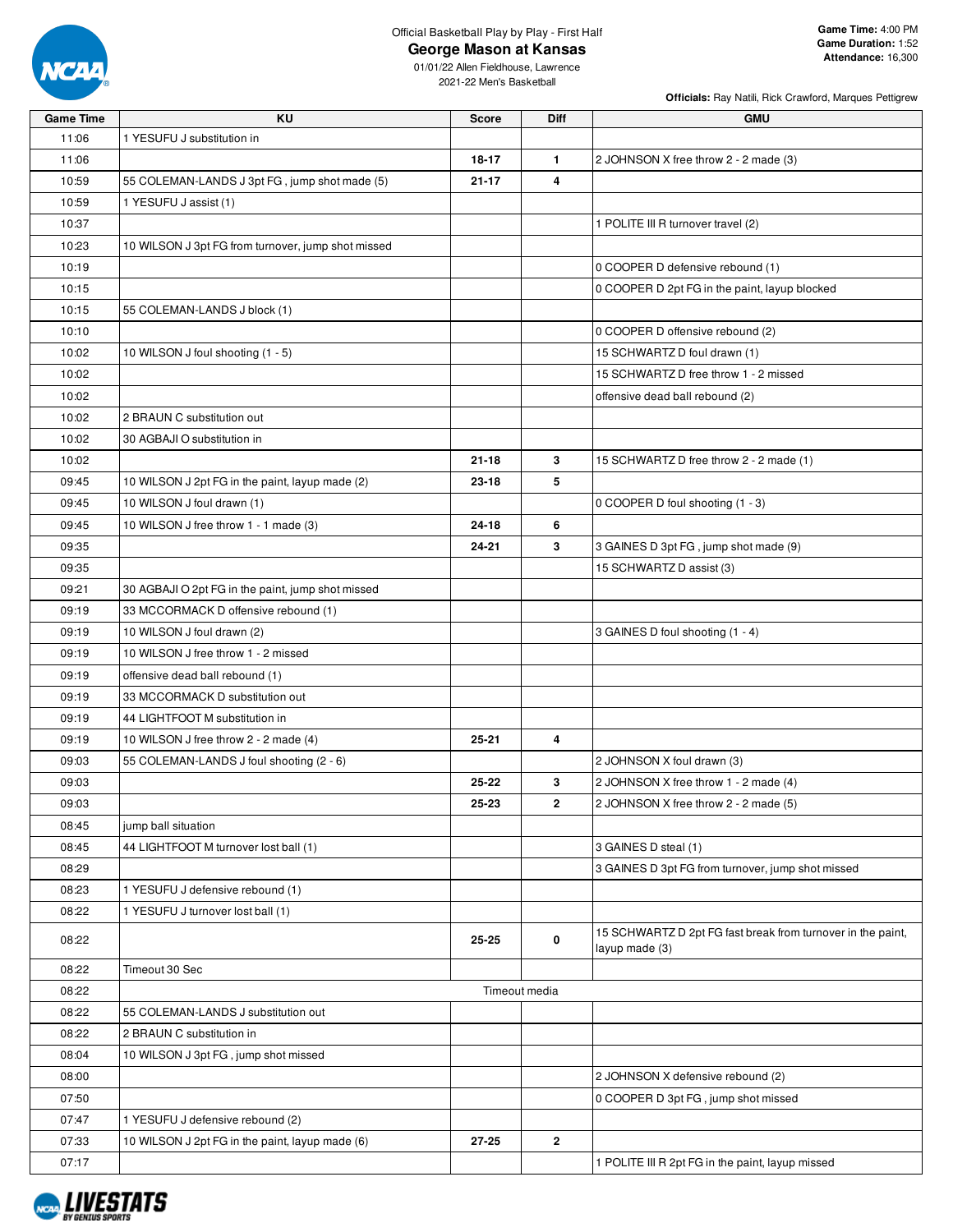

**George Mason at Kansas**

**Officials:** Ray Natili, Rick Crawford, Marques Pettigrew

| <b>Game Time</b> | ΚU                                                 | <b>Score</b>  | Diff         | <b>GMU</b>                                                                    |
|------------------|----------------------------------------------------|---------------|--------------|-------------------------------------------------------------------------------|
| 11:06            | 1 YESUFU J substitution in                         |               |              |                                                                               |
| 11:06            |                                                    | 18-17         | 1.           | 2 JOHNSON X free throw 2 - 2 made (3)                                         |
| 10:59            | 55 COLEMAN-LANDS J 3pt FG, jump shot made (5)      | $21 - 17$     | 4            |                                                                               |
| 10:59            | 1 YESUFU J assist (1)                              |               |              |                                                                               |
| 10:37            |                                                    |               |              | 1 POLITE III R turnover travel (2)                                            |
| 10:23            | 10 WILSON J 3pt FG from turnover, jump shot missed |               |              |                                                                               |
| 10:19            |                                                    |               |              | 0 COOPER D defensive rebound (1)                                              |
| 10:15            |                                                    |               |              | 0 COOPER D 2pt FG in the paint, layup blocked                                 |
| 10:15            | 55 COLEMAN-LANDS J block (1)                       |               |              |                                                                               |
| 10:10            |                                                    |               |              | 0 COOPER D offensive rebound (2)                                              |
| 10:02            |                                                    |               |              | 15 SCHWARTZ D foul drawn (1)                                                  |
|                  | 10 WILSON J foul shooting (1 - 5)                  |               |              |                                                                               |
| 10:02            |                                                    |               |              | 15 SCHWARTZ D free throw 1 - 2 missed                                         |
| 10:02            |                                                    |               |              | offensive dead ball rebound (2)                                               |
| 10:02            | 2 BRAUN C substitution out                         |               |              |                                                                               |
| 10:02            | 30 AGBAJI O substitution in                        |               |              |                                                                               |
| 10:02            |                                                    | $21 - 18$     | 3            | 15 SCHWARTZ D free throw 2 - 2 made (1)                                       |
| 09:45            | 10 WILSON J 2pt FG in the paint, layup made (2)    | 23-18         | 5            |                                                                               |
| 09:45            | 10 WILSON J foul drawn (1)                         |               |              | 0 COOPER D foul shooting (1 - 3)                                              |
| 09:45            | 10 WILSON J free throw 1 - 1 made (3)              | 24-18         | 6            |                                                                               |
| 09:35            |                                                    | 24-21         | 3            | 3 GAINES D 3pt FG, jump shot made (9)                                         |
| 09:35            |                                                    |               |              | 15 SCHWARTZ D assist (3)                                                      |
| 09:21            | 30 AGBAJI O 2pt FG in the paint, jump shot missed  |               |              |                                                                               |
| 09:19            | 33 MCCORMACK D offensive rebound (1)               |               |              |                                                                               |
| 09:19            | 10 WILSON J foul drawn (2)                         |               |              | 3 GAINES D foul shooting (1 - 4)                                              |
| 09:19            | 10 WILSON J free throw 1 - 2 missed                |               |              |                                                                               |
| 09:19            | offensive dead ball rebound (1)                    |               |              |                                                                               |
| 09:19            | 33 MCCORMACK D substitution out                    |               |              |                                                                               |
| 09:19            | 44 LIGHTFOOT M substitution in                     |               |              |                                                                               |
| 09:19            | 10 WILSON J free throw 2 - 2 made (4)              | 25-21         | 4            |                                                                               |
| 09:03            | 55 COLEMAN-LANDS J foul shooting (2 - 6)           |               |              | 2 JOHNSON X foul drawn (3)                                                    |
| 09:03            |                                                    | 25-22         | 3            | 2 JOHNSON X free throw 1 - 2 made (4)                                         |
| 09:03            |                                                    | 25-23         | $\mathbf{2}$ | 2 JOHNSON X free throw 2 - 2 made (5)                                         |
| 08:45            | jump ball situation                                |               |              |                                                                               |
| 08:45            | 44 LIGHTFOOT M turnover lost ball (1)              |               |              | 3 GAINES D steal (1)                                                          |
| 08:29            |                                                    |               |              | 3 GAINES D 3pt FG from turnover, jump shot missed                             |
| 08:23            | 1 YESUFU J defensive rebound (1)                   |               |              |                                                                               |
| 08:22            | 1 YESUFU J turnover lost ball (1)                  |               |              |                                                                               |
| 08:22            |                                                    | 25-25         | 0            | 15 SCHWARTZ D 2pt FG fast break from turnover in the paint,<br>layup made (3) |
| 08:22            | Timeout 30 Sec                                     |               |              |                                                                               |
| 08:22            |                                                    | Timeout media |              |                                                                               |
| 08:22            | 55 COLEMAN-LANDS J substitution out                |               |              |                                                                               |
| 08:22            | 2 BRAUN C substitution in                          |               |              |                                                                               |
| 08:04            | 10 WILSON J 3pt FG, jump shot missed               |               |              |                                                                               |
| 08:00            |                                                    |               |              | 2 JOHNSON X defensive rebound (2)                                             |
| 07:50            |                                                    |               |              | 0 COOPER D 3pt FG, jump shot missed                                           |
| 07:47            | 1 YESUFU J defensive rebound (2)                   |               |              |                                                                               |
| 07:33            | 10 WILSON J 2pt FG in the paint, layup made (6)    | 27-25         | $\mathbf{2}$ |                                                                               |
| 07:17            |                                                    |               |              | 1 POLITE III R 2pt FG in the paint, layup missed                              |

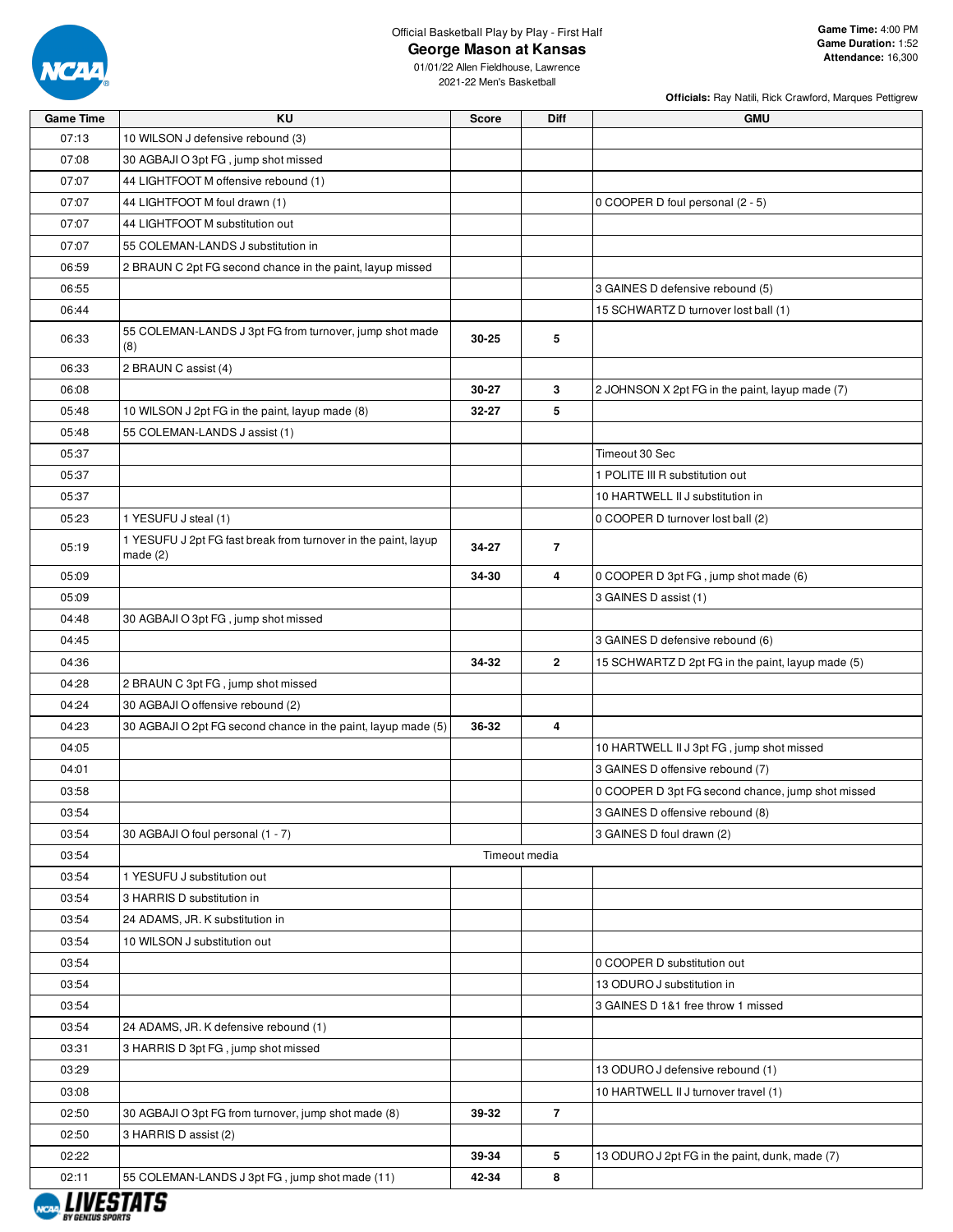

**George Mason at Kansas**

**Officials:** Ray Natili, Rick Crawford, Marques Pettigrew

| <b>Game Time</b> | KU                                                                           | <b>Score</b> | <b>Diff</b>    | <b>GMU</b>                                        |
|------------------|------------------------------------------------------------------------------|--------------|----------------|---------------------------------------------------|
| 07:13            | 10 WILSON J defensive rebound (3)                                            |              |                |                                                   |
| 07:08            | 30 AGBAJI O 3pt FG, jump shot missed                                         |              |                |                                                   |
| 07:07            | 44 LIGHTFOOT M offensive rebound (1)                                         |              |                |                                                   |
| 07:07            | 44 LIGHTFOOT M foul drawn (1)                                                |              |                | 0 COOPER D foul personal (2 - 5)                  |
| 07:07            | 44 LIGHTFOOT M substitution out                                              |              |                |                                                   |
| 07:07            | 55 COLEMAN-LANDS J substitution in                                           |              |                |                                                   |
| 06:59            | 2 BRAUN C 2pt FG second chance in the paint, layup missed                    |              |                |                                                   |
| 06:55            |                                                                              |              |                | 3 GAINES D defensive rebound (5)                  |
| 06:44            |                                                                              |              |                | 15 SCHWARTZ D turnover lost ball (1)              |
| 06:33            | 55 COLEMAN-LANDS J 3pt FG from turnover, jump shot made<br>(8)               | $30 - 25$    | 5              |                                                   |
| 06:33            | 2 BRAUN C assist (4)                                                         |              |                |                                                   |
| 06:08            |                                                                              | 30-27        | 3              | 2 JOHNSON X 2pt FG in the paint, layup made (7)   |
| 05:48            | 10 WILSON J 2pt FG in the paint, layup made (8)                              | 32-27        | 5              |                                                   |
| 05:48            | 55 COLEMAN-LANDS J assist (1)                                                |              |                |                                                   |
| 05:37            |                                                                              |              |                | Timeout 30 Sec                                    |
| 05:37            |                                                                              |              |                | 1 POLITE III R substitution out                   |
| 05:37            |                                                                              |              |                | 10 HARTWELL II J substitution in                  |
| 05:23            | 1 YESUFU J steal (1)                                                         |              |                | 0 COOPER D turnover lost ball (2)                 |
| 05:19            | 1 YESUFU J 2pt FG fast break from turnover in the paint, layup<br>made $(2)$ | 34-27        | $\overline{7}$ |                                                   |
| 05:09            |                                                                              | 34-30        | 4              | 0 COOPER D 3pt FG, jump shot made (6)             |
| 05:09            |                                                                              |              |                | 3 GAINES D assist (1)                             |
| 04:48            | 30 AGBAJI O 3pt FG, jump shot missed                                         |              |                |                                                   |
| 04:45            |                                                                              |              |                | 3 GAINES D defensive rebound (6)                  |
| 04:36            |                                                                              | 34-32        | $\mathbf{2}$   | 15 SCHWARTZ D 2pt FG in the paint, layup made (5) |
| 04:28            | 2 BRAUN C 3pt FG, jump shot missed                                           |              |                |                                                   |
| 04:24            | 30 AGBAJI O offensive rebound (2)                                            |              |                |                                                   |
| 04:23            | 30 AGBAJI O 2pt FG second chance in the paint, layup made (5)                | 36-32        | 4              |                                                   |
| 04:05            |                                                                              |              |                | 10 HARTWELL II J 3pt FG, jump shot missed         |
| 04:01            |                                                                              |              |                | 3 GAINES D offensive rebound (7)                  |
| 03:58            |                                                                              |              |                | 0 COOPER D 3pt FG second chance, jump shot missed |
| 03:54            |                                                                              |              |                | 3 GAINES D offensive rebound (8)                  |
| 03:54            | 30 AGBAJI O foul personal (1 - 7)                                            |              |                | 3 GAINES D foul drawn (2)                         |
| 03:54            |                                                                              |              | Timeout media  |                                                   |
| 03:54            | 1 YESUFU J substitution out                                                  |              |                |                                                   |
| 03:54            | 3 HARRIS D substitution in                                                   |              |                |                                                   |
| 03:54            | 24 ADAMS, JR. K substitution in                                              |              |                |                                                   |
| 03:54            | 10 WILSON J substitution out                                                 |              |                |                                                   |
| 03:54            |                                                                              |              |                | 0 COOPER D substitution out                       |
| 03:54            |                                                                              |              |                | 13 ODURO J substitution in                        |
| 03:54            |                                                                              |              |                | 3 GAINES D 1&1 free throw 1 missed                |
| 03:54            | 24 ADAMS, JR. K defensive rebound (1)                                        |              |                |                                                   |
| 03:31            | 3 HARRIS D 3pt FG, jump shot missed                                          |              |                |                                                   |
| 03:29            |                                                                              |              |                | 13 ODURO J defensive rebound (1)                  |
| 03:08            |                                                                              |              |                | 10 HARTWELL II J turnover travel (1)              |
| 02:50            | 30 AGBAJI O 3pt FG from turnover, jump shot made (8)                         | 39-32        | $\overline{7}$ |                                                   |
| 02:50            | 3 HARRIS D assist (2)                                                        |              |                |                                                   |
| 02:22            |                                                                              | 39-34        | 5              | 13 ODURO J 2pt FG in the paint, dunk, made (7)    |
|                  |                                                                              |              |                |                                                   |
| 02:11            | 55 COLEMAN-LANDS J 3pt FG, jump shot made (11)                               | 42-34        | 8              |                                                   |

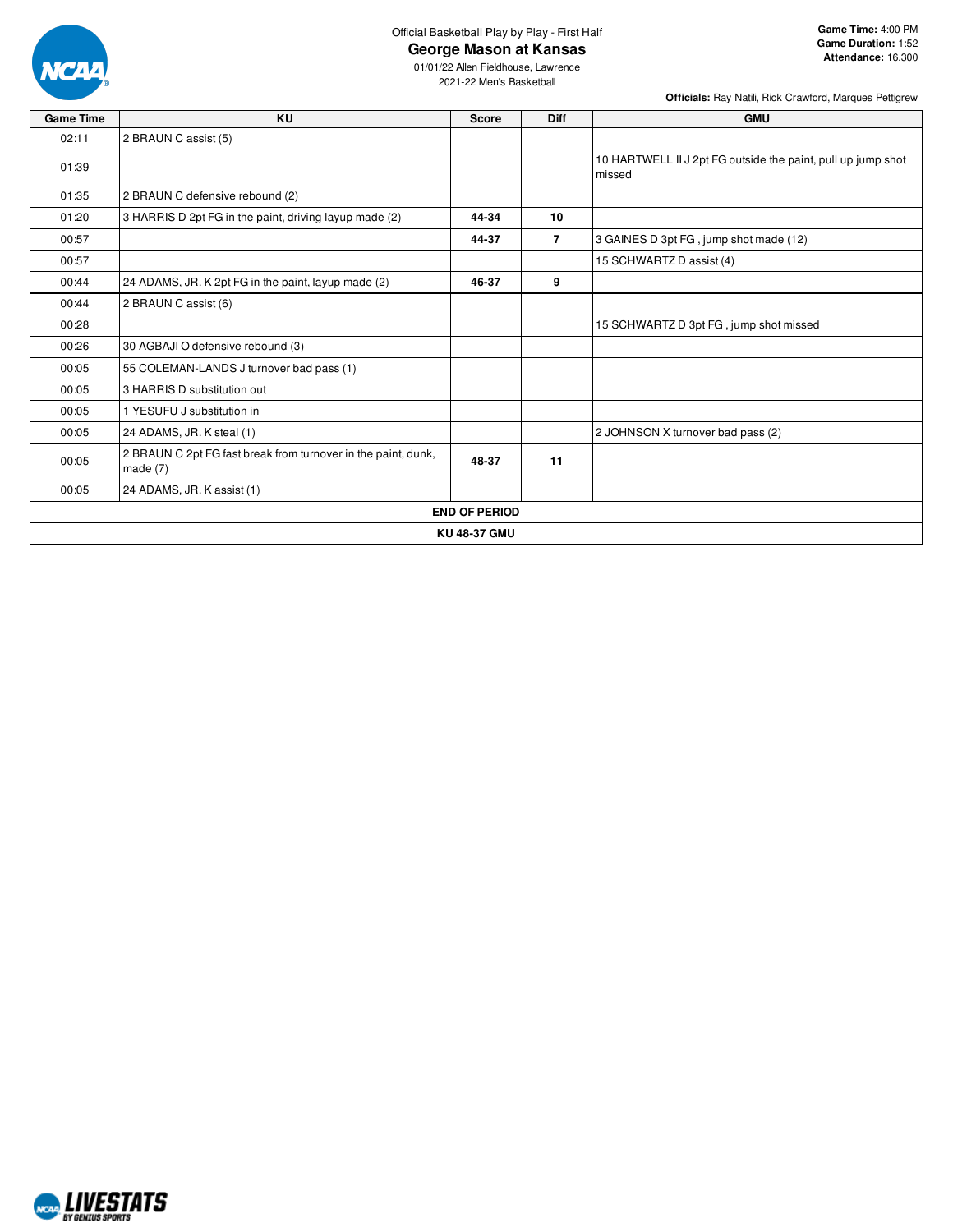

# **George Mason at Kansas**

**Game Time:** 4:00 PM **Game Duration:** 1:52 **Attendance:** 16,300

**Officials:** Ray Natili, Rick Crawford, Marques Pettigrew

| <b>Game Time</b> | KU                                                                          | <b>Score</b> | <b>Diff</b>    | <b>GMU</b>                                                             |  |  |  |  |  |
|------------------|-----------------------------------------------------------------------------|--------------|----------------|------------------------------------------------------------------------|--|--|--|--|--|
| 02:11            | 2 BRAUN C assist (5)                                                        |              |                |                                                                        |  |  |  |  |  |
| 01:39            |                                                                             |              |                | 10 HARTWELL II J 2pt FG outside the paint, pull up jump shot<br>missed |  |  |  |  |  |
| 01:35            | 2 BRAUN C defensive rebound (2)                                             |              |                |                                                                        |  |  |  |  |  |
| 01:20            | 3 HARRIS D 2pt FG in the paint, driving layup made (2)                      | 44-34        | 10             |                                                                        |  |  |  |  |  |
| 00:57            |                                                                             | 44-37        | $\overline{7}$ | 3 GAINES D 3pt FG, jump shot made (12)                                 |  |  |  |  |  |
| 00:57            |                                                                             |              |                | 15 SCHWARTZ D assist (4)                                               |  |  |  |  |  |
| 00:44            | 24 ADAMS, JR. K 2pt FG in the paint, layup made (2)                         | 46-37        | 9              |                                                                        |  |  |  |  |  |
| 00:44            | 2 BRAUN C assist (6)                                                        |              |                |                                                                        |  |  |  |  |  |
| 00:28            |                                                                             |              |                | 15 SCHWARTZ D 3pt FG, jump shot missed                                 |  |  |  |  |  |
| 00:26            | 30 AGBAJI O defensive rebound (3)                                           |              |                |                                                                        |  |  |  |  |  |
| 00:05            | 55 COLEMAN-LANDS J turnover bad pass (1)                                    |              |                |                                                                        |  |  |  |  |  |
| 00:05            | 3 HARRIS D substitution out                                                 |              |                |                                                                        |  |  |  |  |  |
| 00:05            | 1 YESUFU J substitution in                                                  |              |                |                                                                        |  |  |  |  |  |
| 00:05            | 24 ADAMS, JR. K steal (1)                                                   |              |                | 2 JOHNSON X turnover bad pass (2)                                      |  |  |  |  |  |
| 00:05            | 2 BRAUN C 2pt FG fast break from turnover in the paint, dunk,<br>made $(7)$ | 48-37        | 11             |                                                                        |  |  |  |  |  |
| 00:05            | 24 ADAMS, JR. K assist (1)                                                  |              |                |                                                                        |  |  |  |  |  |
|                  | <b>END OF PERIOD</b>                                                        |              |                |                                                                        |  |  |  |  |  |
|                  | <b>KU 48-37 GMU</b>                                                         |              |                |                                                                        |  |  |  |  |  |

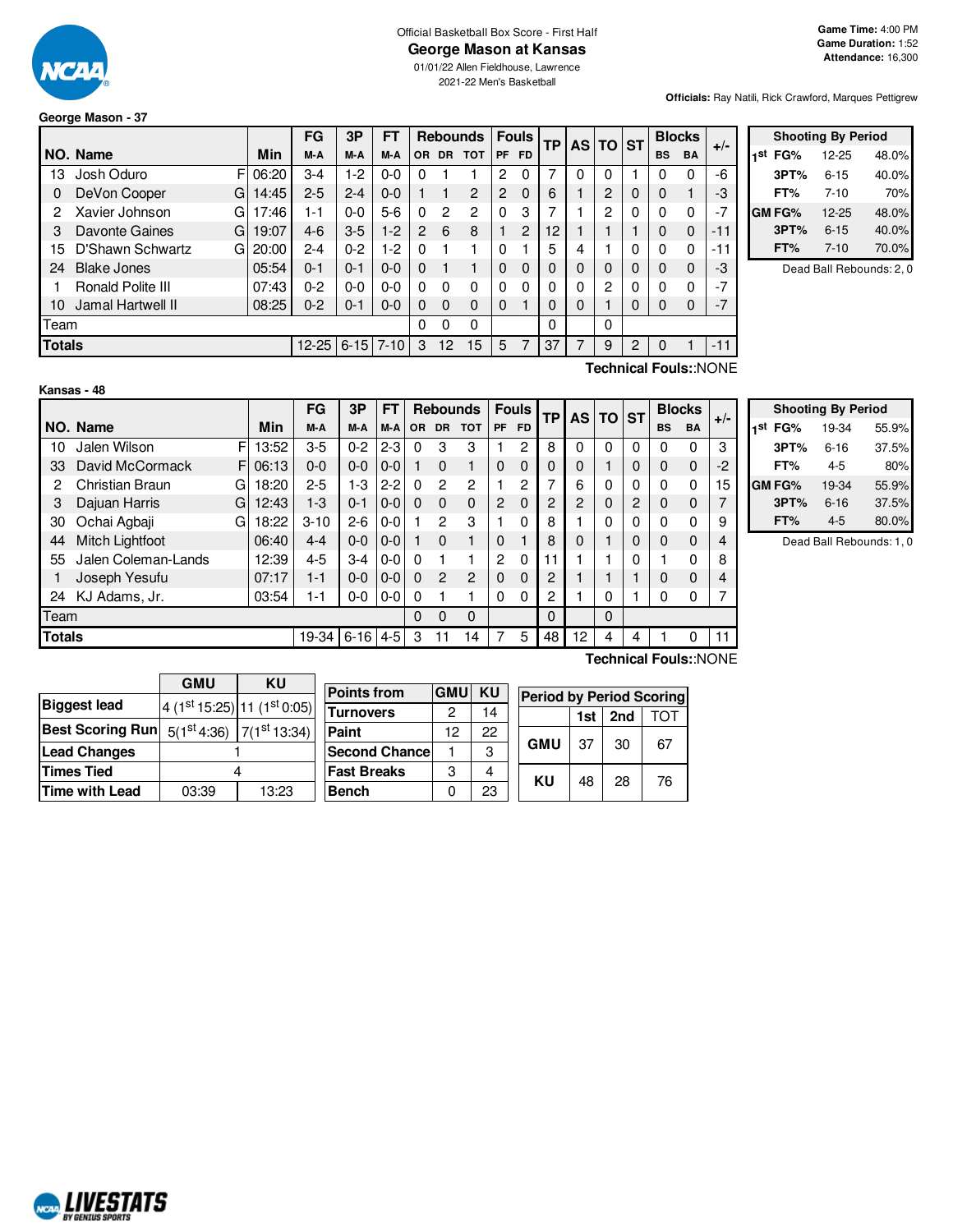

# Official Basketball Box Score - First Half

**George Mason at Kansas**

01/01/22 Allen Fieldhouse, Lawrence 2021-22 Men's Basketball

**Officials:** Ray Natili, Rick Crawford, Marques Pettigrew

## **George Mason - 37**

|               |                       |       | FG        | 3P       | FТ       |          |           | <b>Rebounds</b> |           | <b>Fouls</b> | <b>TP</b> |          | AS TO ST       |   |           | <b>Blocks</b> | $+/-$ |
|---------------|-----------------------|-------|-----------|----------|----------|----------|-----------|-----------------|-----------|--------------|-----------|----------|----------------|---|-----------|---------------|-------|
|               | NO. Name              | Min   | M-A       | M-A      | M-A      | OR.      | <b>DR</b> | <b>TOT</b>      | <b>PF</b> | FD.          |           |          |                |   | <b>BS</b> | <b>BA</b>     |       |
| 13            | Josh Oduro<br>FI      | 06:20 | 3-4       | $1-2$    | $0-0$    | 0        |           |                 | 2         | 0            | 7         | 0        | 0              |   | 0         | 0             | -6    |
| 0             | DeVon Cooper<br>G     | 14:45 | $2 - 5$   | $2 - 4$  | $0 - 0$  |          |           | 2               | 2         | $\Omega$     | 6         |          | 2              | 0 | 0         |               | -3    |
| 2             | Xavier Johnson<br>G   | 17:46 | $1 - 1$   | $0 - 0$  | $5-6$    | 0        | 2         | 2               | 0         | 3            | 7         |          | 2              | 0 | 0         | 0             | $-7$  |
| 3             | Davonte Gaines<br>G   | 19:07 | $4-6$     | $3-5$    | $1-2$    | 2        | 6         | 8               |           | 2            | 12        |          |                |   | 0         | 0             | $-11$ |
| 15            | D'Shawn Schwartz<br>G | 20:00 | $2 - 4$   | $0 - 2$  | 1-2      | $\Omega$ |           |                 | 0         |              | 5         | 4        |                | 0 | 0         | 0             | $-11$ |
| 24            | <b>Blake Jones</b>    | 05:54 | $0 - 1$   | $0 - 1$  | $0 - 0$  | $\Omega$ |           |                 | 0         | $\Omega$     | $\Omega$  | $\Omega$ | $\Omega$       | 0 | 0         | 0             | -3    |
|               | Ronald Polite III     | 07:43 | $0 - 2$   | 0-0      | $0 - 0$  | 0        | 0         | 0               | 0         | 0            | 0         | $\Omega$ | $\overline{c}$ | 0 | 0         | 0             | $-7$  |
| 10            | Jamal Hartwell II     | 08:25 | $0 - 2$   | $0 - 1$  | $0 - 0$  | $\Omega$ | $\Omega$  | 0               | 0         |              | 0         | 0        |                | 0 | 0         | $\Omega$      | $-7$  |
| Team          |                       |       |           |          |          | 0        | 0         | 0               |           |              | 0         |          | 0              |   |           |               |       |
| <b>Totals</b> |                       |       | $12 - 25$ | $6 - 15$ | $7 - 10$ | 3        | 12        | 15              | 5         |              | 37        |          | 9              | 2 | 0         |               | $-11$ |

|     |               | <b>Shooting By Period</b> |       |
|-----|---------------|---------------------------|-------|
| 1st | FG%           | $12 - 25$                 | 48.0% |
|     | 3PT%          | $6 - 15$                  | 40.0% |
|     | FT%           | $7 - 10$                  | 70%   |
|     | <b>GM FG%</b> | 12-25                     | 48.0% |
|     | 3PT%          | $6 - 15$                  | 40.0% |
|     | FT%           | $7 - 10$                  | 70.0% |

Dead Ball Rebounds: 2, 0

| Kansas - 48 |  |  |
|-------------|--|--|
|             |  |  |

**Technical Fouls:**:NONE

|               |                     |             | FG       | 3Р         | FT      |           |                | <b>Rebounds</b> |                | <b>Fouls</b> | <b>TP</b> | AS | ΤO       | <b>ST</b> |           | <b>Blocks</b> | $+/-$ |
|---------------|---------------------|-------------|----------|------------|---------|-----------|----------------|-----------------|----------------|--------------|-----------|----|----------|-----------|-----------|---------------|-------|
|               | NO. Name            | Min         | M-A      | M-A        | M-A     | <b>OR</b> | <b>DR</b>      | <b>TOT</b>      | PF             | FD.          |           |    |          |           | <b>BS</b> | <b>BA</b>     |       |
| 10            | Jalen Wilson        | FI<br>13:52 | $3-5$    | $0 - 2$    | $2 - 3$ | $\Omega$  | 3              | 3               |                | 2            | 8         | 0  | 0        | 0         | 0         | 0             | 3     |
| 33            | David McCormack     | FI<br>06:13 | $0 - 0$  | $0 - 0$    | $0 - 0$ |           | $\Omega$       |                 | 0              | 0            | 0         | 0  |          | 0         | 0         | 0             | $-2$  |
| 2             | Christian Braun     | 18:20<br>G  | $2 - 5$  | 1-3        | $2 - 2$ | $\Omega$  | 2              | $\mathcal{P}$   |                | 2            |           | 6  | 0        | 0         | 0         | 0             | 15    |
| 3             | Dajuan Harris       | G<br>12:43  | $1-3$    | $0 - 1$    | $0 - 0$ | $\Omega$  | $\Omega$       | $\Omega$        | 2              | $\Omega$     | 2         | 2  | 0        | 2         | 0         | $\Omega$      |       |
| 30            | Ochai Agbaji        | 18:22<br>G  | $3 - 10$ | $2 - 6$    | $0-0$   |           | 2              | 3               |                | 0            | 8         |    | 0        | 0         | 0         | 0             | 9     |
| 44            | Mitch Lightfoot     | 06:40       | $4 - 4$  | $0 - 0$    | $0-0$   |           | $\Omega$       |                 | 0              |              | 8         | 0  |          | 0         | 0         | 0             | 4     |
| 55            | Jalen Coleman-Lands | 12:39       | $4 - 5$  | $3-4$      | $0-0$   | $\Omega$  |                |                 | $\overline{c}$ | $\Omega$     | 11        |    |          | 0         |           | $\mathbf{0}$  | 8     |
|               | Joseph Yesufu       | 07:17       | $1 - 1$  | $0 - 0$    | $0 - 0$ | $\Omega$  | $\overline{2}$ | $\overline{c}$  | $\Omega$       | $\Omega$     | 2         |    |          |           | 0         | 0             | 4     |
| 24            | KJ Adams, Jr.       | 03:54       | $1 - 1$  | $0-0$      | $0-0$   | $\Omega$  |                |                 | 0              | 0            | 2         |    | 0        |           | 0         | 0             |       |
| Team          |                     |             |          |            |         | 0         | $\Omega$       | $\Omega$        |                |              | $\Omega$  |    | $\Omega$ |           |           |               |       |
| <b>Totals</b> |                     |             | 19-34    | $6-16$ 4-5 |         | 3         | 11             | 14              |                | 5            | 48        | 12 | 4        | 4         |           | 0             | 11    |
|               |                     |             |          |            |         |           |                |                 |                |              |           |    |          |           |           |               |       |

|     |              | <b>Shooting By Period</b> |       |
|-----|--------------|---------------------------|-------|
| 1st | FG%          | 19-34                     | 55.9% |
|     | 3PT%         | $6 - 16$                  | 37.5% |
|     | FT%          | $4 - 5$                   | 80%   |
|     | <b>GMFG%</b> | 19-34                     | 55.9% |
|     | 3PT%         | $6 - 16$                  | 37.5% |
|     | FT%          | $4 - 5$                   | 80.0% |

Dead Ball Rebounds: 1, 0

|                                                                                          | <b>GMU</b> | KU    |                                                                           |            |           |                                 |     |     |     |
|------------------------------------------------------------------------------------------|------------|-------|---------------------------------------------------------------------------|------------|-----------|---------------------------------|-----|-----|-----|
|                                                                                          |            |       | <b>Points from</b>                                                        | <b>GMU</b> | <b>KU</b> | <b>Period by Period Scoring</b> |     |     |     |
| <b>Biggest lead</b>                                                                      |            |       | $\frac{1}{4}$ (1 <sup>st</sup> 15:25) 11 (1 <sup>st</sup> 0:05) Turnovers | ◠          | 14        |                                 | 1st | 2nd | тот |
| Best Scoring Run $\mid$ $_{5(1}^{\rm st}$ 4:36) $\mid$ 7(1 $^{\rm st}$ 13:34) $^{\rm t}$ |            |       | Paint                                                                     | 12         | 22        |                                 |     |     |     |
| <b>Lead Changes</b>                                                                      |            |       | <b>Second Chance</b>                                                      |            | ີ         | <b>GMU</b>                      | 37  | 30  | 67  |
| Times Tied                                                                               |            |       | <b>Fast Breaks</b>                                                        | З          | 4         | ΚU                              | 48  | 28  | 76  |
| Time with Lead                                                                           | 03:39      | 13:23 | <b>Bench</b>                                                              |            | 23        |                                 |     |     |     |

**Technical Fouls:**:NONE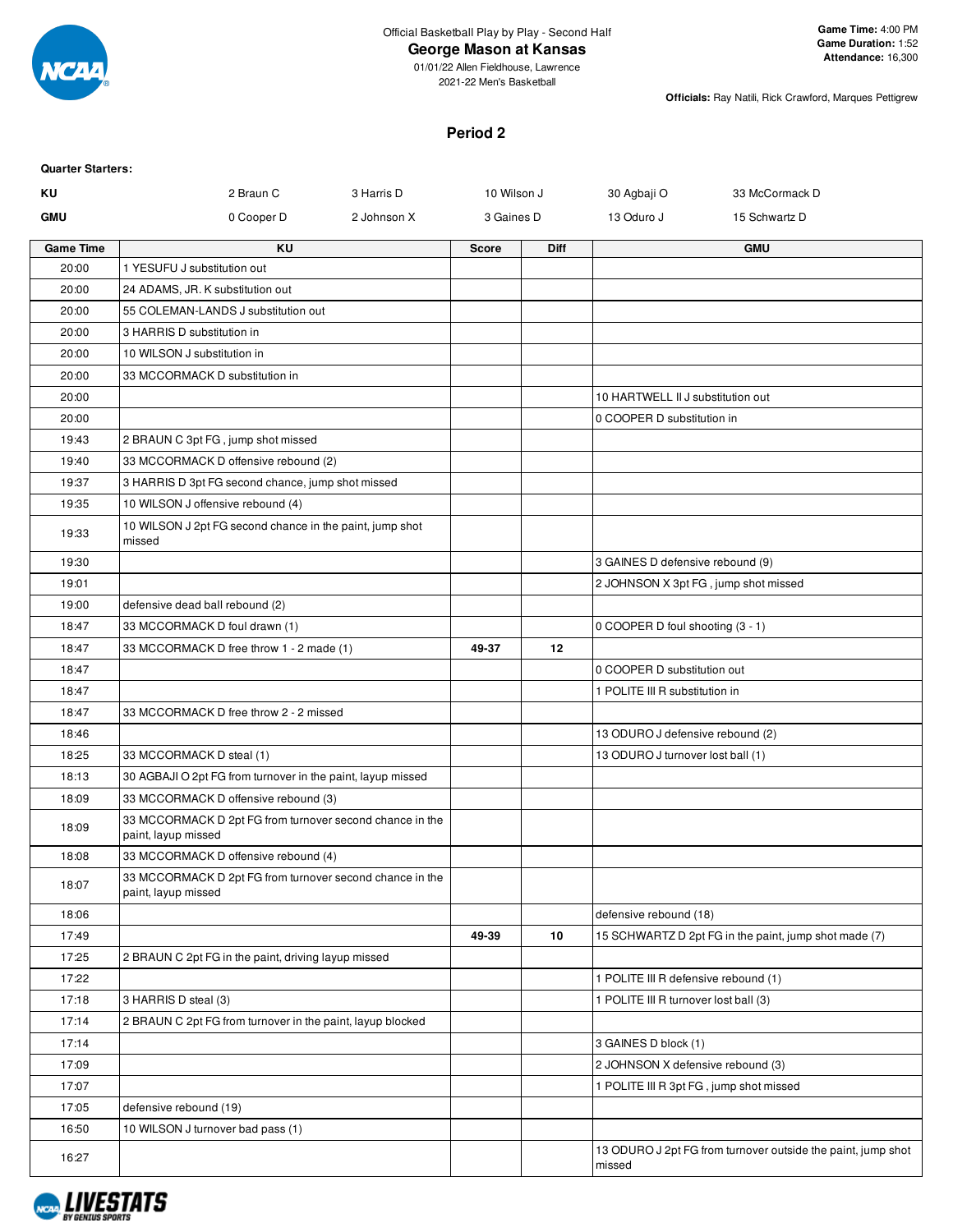

### **George Mason at Kansas**

01/01/22 Allen Fieldhouse, Lawrence 2021-22 Men's Basketball

**Officials:** Ray Natili, Rick Crawford, Marques Pettigrew

#### **Period 2**

| <b>Quarter Starters:</b> |                                                                                 |             |              |             |                                         |                                                              |
|--------------------------|---------------------------------------------------------------------------------|-------------|--------------|-------------|-----------------------------------------|--------------------------------------------------------------|
| KU                       | 2 Braun C                                                                       | 3 Harris D  | 10 Wilson J  |             | 30 Agbaji O                             | 33 McCormack D                                               |
| <b>GMU</b>               | 0 Cooper D                                                                      | 2 Johnson X | 3 Gaines D   |             | 13 Oduro J                              | 15 Schwartz D                                                |
| <b>Game Time</b>         | KU                                                                              |             | <b>Score</b> | <b>Diff</b> |                                         | <b>GMU</b>                                                   |
| 20:00                    | 1 YESUFU J substitution out                                                     |             |              |             |                                         |                                                              |
| 20:00                    | 24 ADAMS, JR. K substitution out                                                |             |              |             |                                         |                                                              |
| 20:00                    | 55 COLEMAN-LANDS J substitution out                                             |             |              |             |                                         |                                                              |
| 20:00                    | 3 HARRIS D substitution in                                                      |             |              |             |                                         |                                                              |
| 20:00                    | 10 WILSON J substitution in                                                     |             |              |             |                                         |                                                              |
| 20:00                    | 33 MCCORMACK D substitution in                                                  |             |              |             |                                         |                                                              |
| 20:00                    |                                                                                 |             |              |             | 10 HARTWELL II J substitution out       |                                                              |
| 20:00                    |                                                                                 |             |              |             | 0 COOPER D substitution in              |                                                              |
| 19:43                    | 2 BRAUN C 3pt FG, jump shot missed                                              |             |              |             |                                         |                                                              |
| 19:40                    | 33 MCCORMACK D offensive rebound (2)                                            |             |              |             |                                         |                                                              |
| 19:37                    | 3 HARRIS D 3pt FG second chance, jump shot missed                               |             |              |             |                                         |                                                              |
| 19:35                    | 10 WILSON J offensive rebound (4)                                               |             |              |             |                                         |                                                              |
| 19:33                    | 10 WILSON J 2pt FG second chance in the paint, jump shot<br>missed              |             |              |             |                                         |                                                              |
| 19:30                    |                                                                                 |             |              |             | 3 GAINES D defensive rebound (9)        |                                                              |
| 19:01                    |                                                                                 |             |              |             | 2 JOHNSON X 3pt FG, jump shot missed    |                                                              |
| 19:00                    | defensive dead ball rebound (2)                                                 |             |              |             |                                         |                                                              |
| 18:47                    | 33 MCCORMACK D foul drawn (1)                                                   |             |              |             | 0 COOPER D foul shooting (3 - 1)        |                                                              |
| 18:47                    | 33 MCCORMACK D free throw 1 - 2 made (1)                                        |             | 49-37        | 12          |                                         |                                                              |
| 18:47                    |                                                                                 |             |              |             | 0 COOPER D substitution out             |                                                              |
| 18:47                    |                                                                                 |             |              |             | 1 POLITE III R substitution in          |                                                              |
| 18:47                    | 33 MCCORMACK D free throw 2 - 2 missed                                          |             |              |             |                                         |                                                              |
| 18:46                    |                                                                                 |             |              |             | 13 ODURO J defensive rebound (2)        |                                                              |
| 18:25                    | 33 MCCORMACK D steal (1)                                                        |             |              |             | 13 ODURO J turnover lost ball (1)       |                                                              |
| 18:13                    | 30 AGBAJI O 2pt FG from turnover in the paint, layup missed                     |             |              |             |                                         |                                                              |
| 18:09                    | 33 MCCORMACK D offensive rebound (3)                                            |             |              |             |                                         |                                                              |
| 18:09                    | 33 MCCORMACK D 2pt FG from turnover second chance in the<br>paint, layup missed |             |              |             |                                         |                                                              |
| 18:08                    | 33 MCCORMACK D offensive rebound (4)                                            |             |              |             |                                         |                                                              |
| 18:07                    | 33 MCCORMACK D 2pt FG from turnover second chance in the<br>paint, layup missed |             |              |             |                                         |                                                              |
| 18:06                    |                                                                                 |             |              |             | defensive rebound (18)                  |                                                              |
| 17:49                    |                                                                                 |             | 49-39        | 10          |                                         | 15 SCHWARTZ D 2pt FG in the paint, jump shot made (7)        |
| 17:25                    | 2 BRAUN C 2pt FG in the paint, driving layup missed                             |             |              |             |                                         |                                                              |
| 17:22                    |                                                                                 |             |              |             | 1 POLITE III R defensive rebound (1)    |                                                              |
| 17:18                    | 3 HARRIS D steal (3)                                                            |             |              |             | 1 POLITE III R turnover lost ball (3)   |                                                              |
| 17:14                    | 2 BRAUN C 2pt FG from turnover in the paint, layup blocked                      |             |              |             |                                         |                                                              |
| 17:14                    |                                                                                 |             |              |             | 3 GAINES D block (1)                    |                                                              |
| 17:09                    |                                                                                 |             |              |             | 2 JOHNSON X defensive rebound (3)       |                                                              |
| 17:07                    |                                                                                 |             |              |             | 1 POLITE III R 3pt FG, jump shot missed |                                                              |
| 17:05                    | defensive rebound (19)                                                          |             |              |             |                                         |                                                              |
| 16:50                    | 10 WILSON J turnover bad pass (1)                                               |             |              |             |                                         |                                                              |
| 16:27                    |                                                                                 |             |              |             | missed                                  | 13 ODURO J 2pt FG from turnover outside the paint, jump shot |

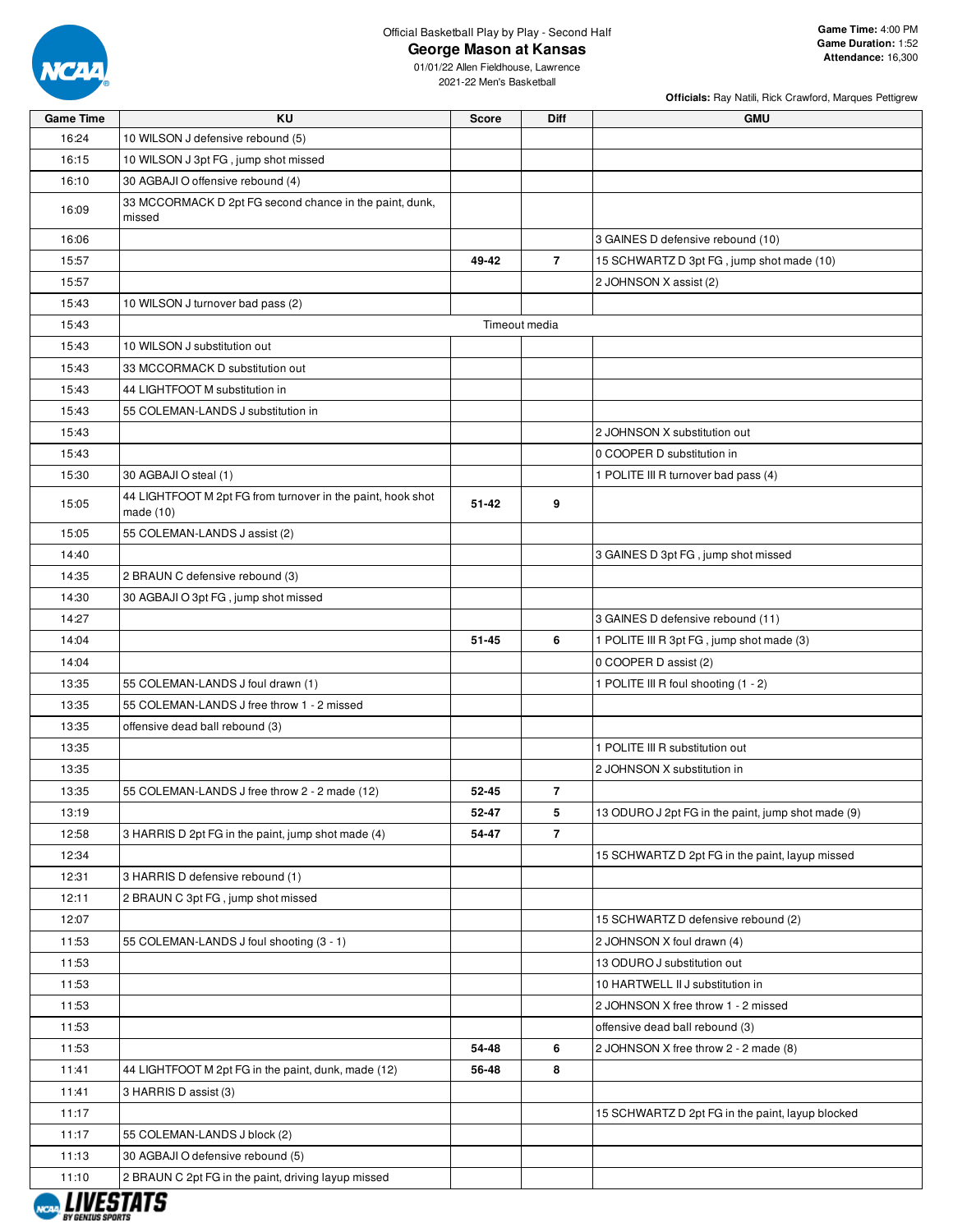

**George Mason at Kansas**

**Officials:** Ray Natili, Rick Crawford, Marques Pettigrew

| <b>Game Time</b>     | KU                                                                       | <b>Score</b>  | Diff           | <b>GMU</b>                                         |
|----------------------|--------------------------------------------------------------------------|---------------|----------------|----------------------------------------------------|
| 16:24                | 10 WILSON J defensive rebound (5)                                        |               |                |                                                    |
| 16:15                | 10 WILSON J 3pt FG, jump shot missed                                     |               |                |                                                    |
| 16:10                | 30 AGBAJI O offensive rebound (4)                                        |               |                |                                                    |
| 16:09                | 33 MCCORMACK D 2pt FG second chance in the paint, dunk,                  |               |                |                                                    |
|                      | missed                                                                   |               |                |                                                    |
| 16:06                |                                                                          |               |                | 3 GAINES D defensive rebound (10)                  |
| 15:57                |                                                                          | 49-42         | $\overline{7}$ | 15 SCHWARTZ D 3pt FG, jump shot made (10)          |
| 15:57                |                                                                          |               |                | 2 JOHNSON X assist (2)                             |
| 15:43                | 10 WILSON J turnover bad pass (2)                                        |               |                |                                                    |
| 15:43                |                                                                          | Timeout media |                |                                                    |
| 15:43                | 10 WILSON J substitution out                                             |               |                |                                                    |
| 15:43                | 33 MCCORMACK D substitution out                                          |               |                |                                                    |
| 15:43                | 44 LIGHTFOOT M substitution in                                           |               |                |                                                    |
| 15:43                | 55 COLEMAN-LANDS J substitution in                                       |               |                |                                                    |
| 15:43                |                                                                          |               |                | 2 JOHNSON X substitution out                       |
| 15:43                |                                                                          |               |                | 0 COOPER D substitution in                         |
| 15:30                | 30 AGBAJI O steal (1)                                                    |               |                | 1 POLITE III R turnover bad pass (4)               |
| 15:05                | 44 LIGHTFOOT M 2pt FG from turnover in the paint, hook shot<br>made (10) | $51 - 42$     | 9              |                                                    |
| 15:05                | 55 COLEMAN-LANDS J assist (2)                                            |               |                |                                                    |
| 14:40                |                                                                          |               |                | 3 GAINES D 3pt FG, jump shot missed                |
| 14:35                | 2 BRAUN C defensive rebound (3)                                          |               |                |                                                    |
| 14:30                | 30 AGBAJI O 3pt FG, jump shot missed                                     |               |                |                                                    |
| 14:27                |                                                                          |               |                | 3 GAINES D defensive rebound (11)                  |
| 14:04                |                                                                          | $51 - 45$     | 6              | 1 POLITE III R 3pt FG, jump shot made (3)          |
| 14:04                |                                                                          |               |                | 0 COOPER D assist (2)                              |
| 13:35                | 55 COLEMAN-LANDS J foul drawn (1)                                        |               |                | 1 POLITE III R foul shooting (1 - 2)               |
| 13:35                | 55 COLEMAN-LANDS J free throw 1 - 2 missed                               |               |                |                                                    |
| 13:35                | offensive dead ball rebound (3)                                          |               |                |                                                    |
| 13:35                |                                                                          |               |                | 1 POLITE III R substitution out                    |
| 13:35                |                                                                          |               |                | 2 JOHNSON X substitution in                        |
| 13:35                | 55 COLEMAN-LANDS J free throw 2 - 2 made (12)                            | 52-45         | $\overline{7}$ |                                                    |
| 13:19                |                                                                          | 52-47         | 5              | 13 ODURO J 2pt FG in the paint, jump shot made (9) |
| 12:58                | 3 HARRIS D 2pt FG in the paint, jump shot made (4)                       | 54-47         | $\overline{7}$ |                                                    |
| 12:34                |                                                                          |               |                | 15 SCHWARTZ D 2pt FG in the paint, layup missed    |
| 12:31                | 3 HARRIS D defensive rebound (1)                                         |               |                |                                                    |
| 12:11                | 2 BRAUN C 3pt FG, jump shot missed                                       |               |                |                                                    |
| 12:07                |                                                                          |               |                | 15 SCHWARTZ D defensive rebound (2)                |
| 11:53                | 55 COLEMAN-LANDS J foul shooting (3 - 1)                                 |               |                | 2 JOHNSON X foul drawn (4)                         |
| 11:53                |                                                                          |               |                | 13 ODURO J substitution out                        |
| 11:53                |                                                                          |               |                | 10 HARTWELL II J substitution in                   |
| 11:53                |                                                                          |               |                | 2 JOHNSON X free throw 1 - 2 missed                |
| 11:53                |                                                                          |               |                | offensive dead ball rebound (3)                    |
| 11:53                |                                                                          | 54-48         | 6              | 2 JOHNSON X free throw 2 - 2 made (8)              |
| 11:41                | 44 LIGHTFOOT M 2pt FG in the paint, dunk, made (12)                      | 56-48         | 8              |                                                    |
| 11:41                | 3 HARRIS D assist (3)                                                    |               |                |                                                    |
| 11:17                |                                                                          |               |                | 15 SCHWARTZ D 2pt FG in the paint, layup blocked   |
| 11:17                | 55 COLEMAN-LANDS J block (2)                                             |               |                |                                                    |
| 11:13                | 30 AGBAJI O defensive rebound (5)                                        |               |                |                                                    |
| 11:10<br>I IIIFATATA | 2 BRAUN C 2pt FG in the paint, driving layup missed                      |               |                |                                                    |

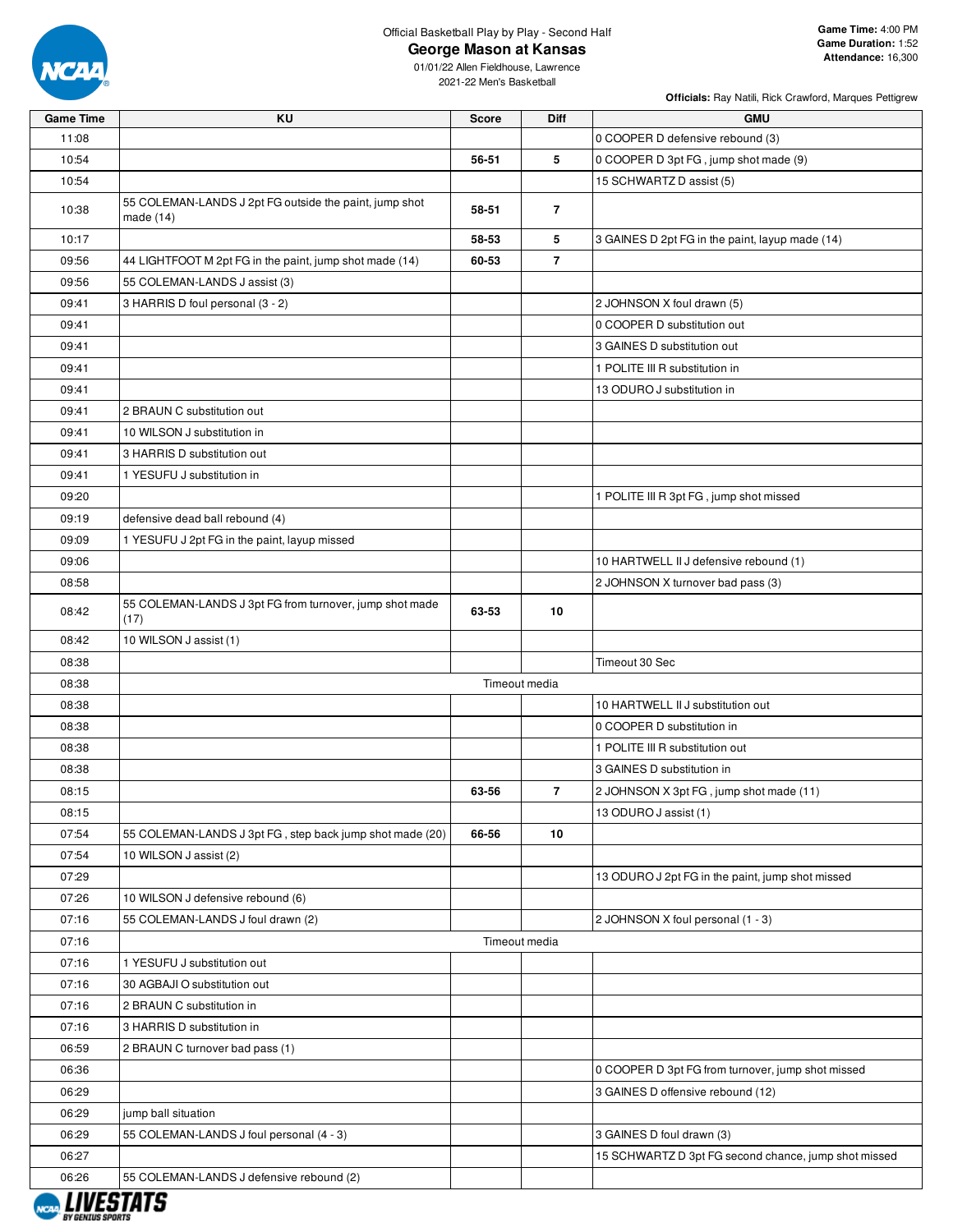

**George Mason at Kansas**

**Officials:** Ray Natili, Rick Crawford, Marques Pettigrew

| <b>Game Time</b>                   | KU                                                                  | <b>Score</b>  | Diff           | <b>GMU</b>                                           |
|------------------------------------|---------------------------------------------------------------------|---------------|----------------|------------------------------------------------------|
| 11:08                              |                                                                     |               |                | 0 COOPER D defensive rebound (3)                     |
| 10:54                              |                                                                     | 56-51         | 5              | 0 COOPER D 3pt FG, jump shot made (9)                |
| 10:54                              |                                                                     |               |                | 15 SCHWARTZ D assist (5)                             |
| 10:38                              | 55 COLEMAN-LANDS J 2pt FG outside the paint, jump shot<br>made (14) | 58-51         | $\overline{7}$ |                                                      |
| 10:17                              |                                                                     | 58-53         | 5              | 3 GAINES D 2pt FG in the paint, layup made (14)      |
| 09:56                              | 44 LIGHTFOOT M 2pt FG in the paint, jump shot made (14)             | 60-53         | $\overline{7}$ |                                                      |
| 09:56                              | 55 COLEMAN-LANDS J assist (3)                                       |               |                |                                                      |
| 09:41                              | 3 HARRIS D foul personal (3 - 2)                                    |               |                | 2 JOHNSON X foul drawn (5)                           |
| 09:41                              |                                                                     |               |                | 0 COOPER D substitution out                          |
| 09:41                              |                                                                     |               |                | 3 GAINES D substitution out                          |
| 09:41                              |                                                                     |               |                | 1 POLITE III R substitution in                       |
| 09:41                              |                                                                     |               |                | 13 ODURO J substitution in                           |
| 09:41                              | 2 BRAUN C substitution out                                          |               |                |                                                      |
| 09:41                              | 10 WILSON J substitution in                                         |               |                |                                                      |
| 09:41                              | 3 HARRIS D substitution out                                         |               |                |                                                      |
| 09:41                              | 1 YESUFU J substitution in                                          |               |                |                                                      |
| 09:20                              |                                                                     |               |                | 1 POLITE III R 3pt FG, jump shot missed              |
| 09:19                              | defensive dead ball rebound (4)                                     |               |                |                                                      |
| 09:09                              | 1 YESUFU J 2pt FG in the paint, layup missed                        |               |                |                                                      |
| 09:06                              |                                                                     |               |                | 10 HARTWELL II J defensive rebound (1)               |
| 08:58                              |                                                                     |               |                | 2 JOHNSON X turnover bad pass (3)                    |
| 08:42                              | 55 COLEMAN-LANDS J 3pt FG from turnover, jump shot made<br>(17)     | 63-53         | 10             |                                                      |
| 08:42                              | 10 WILSON J assist (1)                                              |               |                |                                                      |
| 08:38                              |                                                                     |               |                | Timeout 30 Sec                                       |
| 08:38                              |                                                                     | Timeout media |                |                                                      |
| 08:38                              |                                                                     |               |                | 10 HARTWELL II J substitution out                    |
| 08:38                              |                                                                     |               |                | 0 COOPER D substitution in                           |
| 08:38                              |                                                                     |               |                | 1 POLITE III R substitution out                      |
| 08:38                              |                                                                     |               |                | 3 GAINES D substitution in                           |
| 08:15                              |                                                                     | 63-56         | $\overline{7}$ | 2 JOHNSON X 3pt FG, jump shot made (11)              |
| 08:15                              |                                                                     |               |                | 13 ODURO J assist (1)                                |
| 07:54                              | 55 COLEMAN-LANDS J 3pt FG, step back jump shot made (20)            | 66-56         | 10             |                                                      |
| 07:54                              | 10 WILSON J assist (2)                                              |               |                |                                                      |
| 07:29                              |                                                                     |               |                | 13 ODURO J 2pt FG in the paint, jump shot missed     |
| 07:26                              | 10 WILSON J defensive rebound (6)                                   |               |                |                                                      |
| 07:16                              | 55 COLEMAN-LANDS J foul drawn (2)                                   |               |                | 2 JOHNSON X foul personal (1 - 3)                    |
| 07:16                              |                                                                     | Timeout media |                |                                                      |
| 07:16                              | 1 YESUFU J substitution out                                         |               |                |                                                      |
| 07:16                              | 30 AGBAJI O substitution out                                        |               |                |                                                      |
| 07:16                              | 2 BRAUN C substitution in                                           |               |                |                                                      |
| 07:16                              | 3 HARRIS D substitution in                                          |               |                |                                                      |
| 06:59                              | 2 BRAUN C turnover bad pass (1)                                     |               |                |                                                      |
| 06:36                              |                                                                     |               |                | 0 COOPER D 3pt FG from turnover, jump shot missed    |
| 06:29                              |                                                                     |               |                | 3 GAINES D offensive rebound (12)                    |
| 06:29                              | jump ball situation                                                 |               |                |                                                      |
| 06:29                              | 55 COLEMAN-LANDS J foul personal (4 - 3)                            |               |                | 3 GAINES D foul drawn (3)                            |
| 06:27                              |                                                                     |               |                | 15 SCHWARTZ D 3pt FG second chance, jump shot missed |
| 06:26<br><i><b>I IIIFOTATO</b></i> | 55 COLEMAN-LANDS J defensive rebound (2)                            |               |                |                                                      |

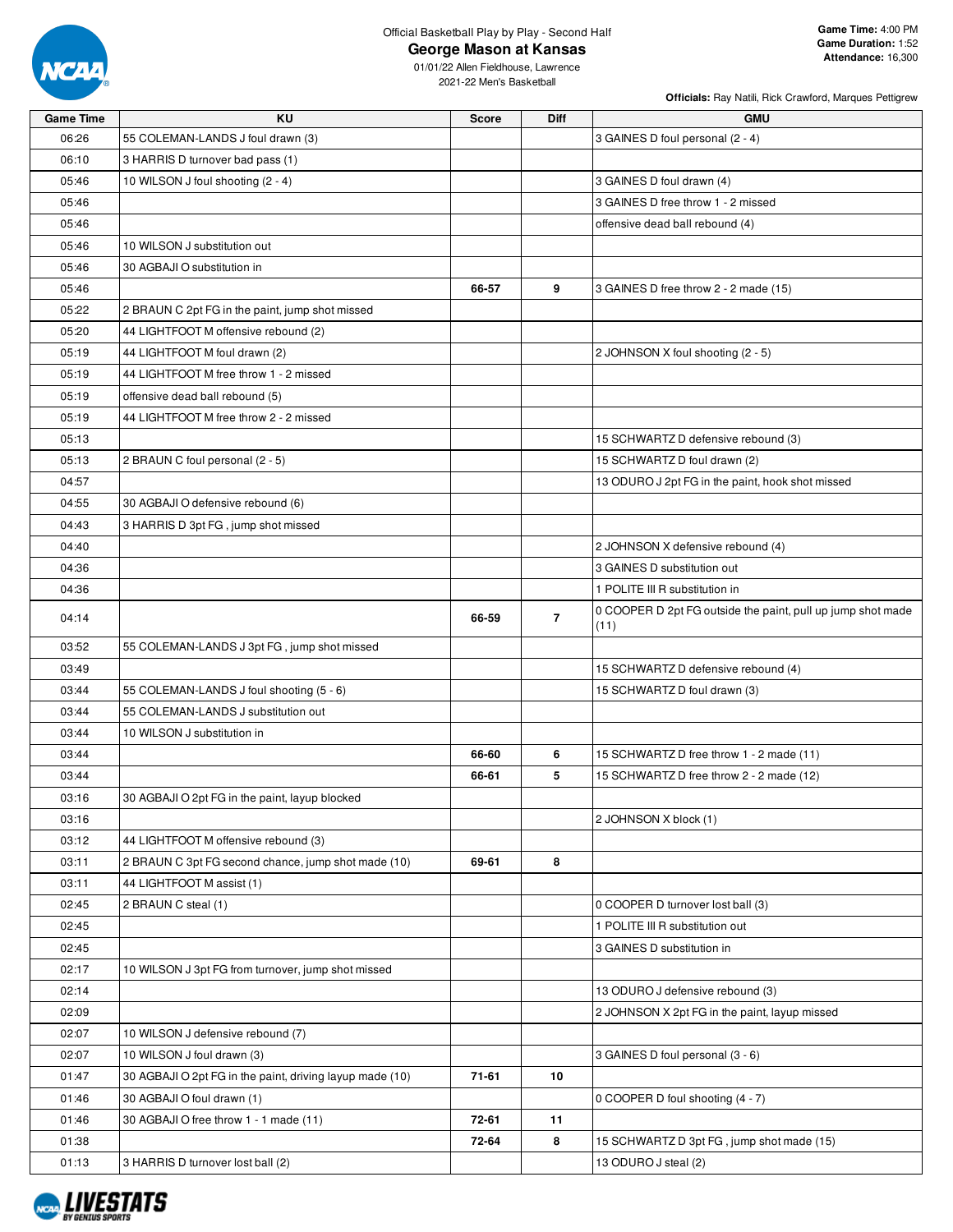

**George Mason at Kansas**

|                  |                                                          |       |                | Officials: Ray Natili, Rick Crawford, Marques Pettigrew     |
|------------------|----------------------------------------------------------|-------|----------------|-------------------------------------------------------------|
| <b>Game Time</b> | <b>KU</b>                                                | Score | Diff           | <b>GMU</b>                                                  |
| 06:26            | 55 COLEMAN-LANDS J foul drawn (3)                        |       |                | 3 GAINES D foul personal (2 - 4)                            |
| 06:10            | 3 HARRIS D turnover bad pass (1)                         |       |                |                                                             |
| 05:46            | 10 WILSON J foul shooting (2 - 4)                        |       |                | 3 GAINES D foul drawn (4)                                   |
| 05:46            |                                                          |       |                | 3 GAINES D free throw 1 - 2 missed                          |
| 05:46            |                                                          |       |                | offensive dead ball rebound (4)                             |
| 05:46            | 10 WILSON J substitution out                             |       |                |                                                             |
| 05:46            | 30 AGBAJI O substitution in                              |       |                |                                                             |
| 05:46            |                                                          | 66-57 | 9              | 3 GAINES D free throw 2 - 2 made (15)                       |
| 05:22            | 2 BRAUN C 2pt FG in the paint, jump shot missed          |       |                |                                                             |
| 05:20            | 44 LIGHTFOOT M offensive rebound (2)                     |       |                |                                                             |
| 05:19            | 44 LIGHTFOOT M foul drawn (2)                            |       |                | 2 JOHNSON X foul shooting (2 - 5)                           |
| 05:19            | 44 LIGHTFOOT M free throw 1 - 2 missed                   |       |                |                                                             |
| 05:19            | offensive dead ball rebound (5)                          |       |                |                                                             |
| 05:19            | 44 LIGHTFOOT M free throw 2 - 2 missed                   |       |                |                                                             |
| 05:13            |                                                          |       |                | 15 SCHWARTZ D defensive rebound (3)                         |
| 05:13            | 2 BRAUN C foul personal (2 - 5)                          |       |                | 15 SCHWARTZ D foul drawn (2)                                |
| 04:57            |                                                          |       |                | 13 ODURO J 2pt FG in the paint, hook shot missed            |
| 04:55            | 30 AGBAJI O defensive rebound (6)                        |       |                |                                                             |
| 04:43            | 3 HARRIS D 3pt FG, jump shot missed                      |       |                |                                                             |
| 04:40            |                                                          |       |                | 2 JOHNSON X defensive rebound (4)                           |
| 04:36            |                                                          |       |                | 3 GAINES D substitution out                                 |
| 04:36            |                                                          |       |                | 1 POLITE III R substitution in                              |
|                  |                                                          |       |                | 0 COOPER D 2pt FG outside the paint, pull up jump shot made |
| 04:14            |                                                          | 66-59 | $\overline{7}$ | (11)                                                        |
| 03:52            | 55 COLEMAN-LANDS J 3pt FG, jump shot missed              |       |                |                                                             |
| 03:49            |                                                          |       |                | 15 SCHWARTZ D defensive rebound (4)                         |
| 03:44            | 55 COLEMAN-LANDS J foul shooting (5 - 6)                 |       |                | 15 SCHWARTZ D foul drawn (3)                                |
| 03:44            | 55 COLEMAN-LANDS J substitution out                      |       |                |                                                             |
| 03:44            | 10 WILSON J substitution in                              |       |                |                                                             |
| 03:44            |                                                          | 66-60 | 6              | 15 SCHWARTZ D free throw 1 - 2 made (11)                    |
| 03:44            |                                                          | 66-61 | 5              | 15 SCHWARTZ D free throw 2 - 2 made (12)                    |
| 03:16            | 30 AGBAJI O 2pt FG in the paint, layup blocked           |       |                |                                                             |
| 03:16            |                                                          |       |                | 2 JOHNSON X block (1)                                       |
| 03:12            | 44 LIGHTFOOT M offensive rebound (3)                     |       |                |                                                             |
| 03:11            | 2 BRAUN C 3pt FG second chance, jump shot made (10)      | 69-61 | 8              |                                                             |
| 03:11            | 44 LIGHTFOOT M assist (1)                                |       |                |                                                             |
| 02:45            | 2 BRAUN C steal (1)                                      |       |                | 0 COOPER D turnover lost ball (3)                           |
| 02:45            |                                                          |       |                | 1 POLITE III R substitution out                             |
| 02:45            |                                                          |       |                | 3 GAINES D substitution in                                  |
| 02:17            | 10 WILSON J 3pt FG from turnover, jump shot missed       |       |                |                                                             |
| 02:14            |                                                          |       |                | 13 ODURO J defensive rebound (3)                            |
| 02:09            |                                                          |       |                | 2 JOHNSON X 2pt FG in the paint, layup missed               |
| 02:07            | 10 WILSON J defensive rebound (7)                        |       |                |                                                             |
| 02:07            | 10 WILSON J foul drawn (3)                               |       |                | 3 GAINES D foul personal (3 - 6)                            |
| 01:47            | 30 AGBAJI O 2pt FG in the paint, driving layup made (10) | 71-61 | 10             |                                                             |
| 01:46            | 30 AGBAJI O foul drawn (1)                               |       |                | 0 COOPER D foul shooting (4 - 7)                            |
| 01:46            | 30 AGBAJI O free throw 1 - 1 made (11)                   | 72-61 | 11             |                                                             |
| 01:38            |                                                          | 72-64 | 8              | 15 SCHWARTZ D 3pt FG, jump shot made (15)                   |
| 01:13            | 3 HARRIS D turnover lost ball (2)                        |       |                | 13 ODURO J steal (2)                                        |

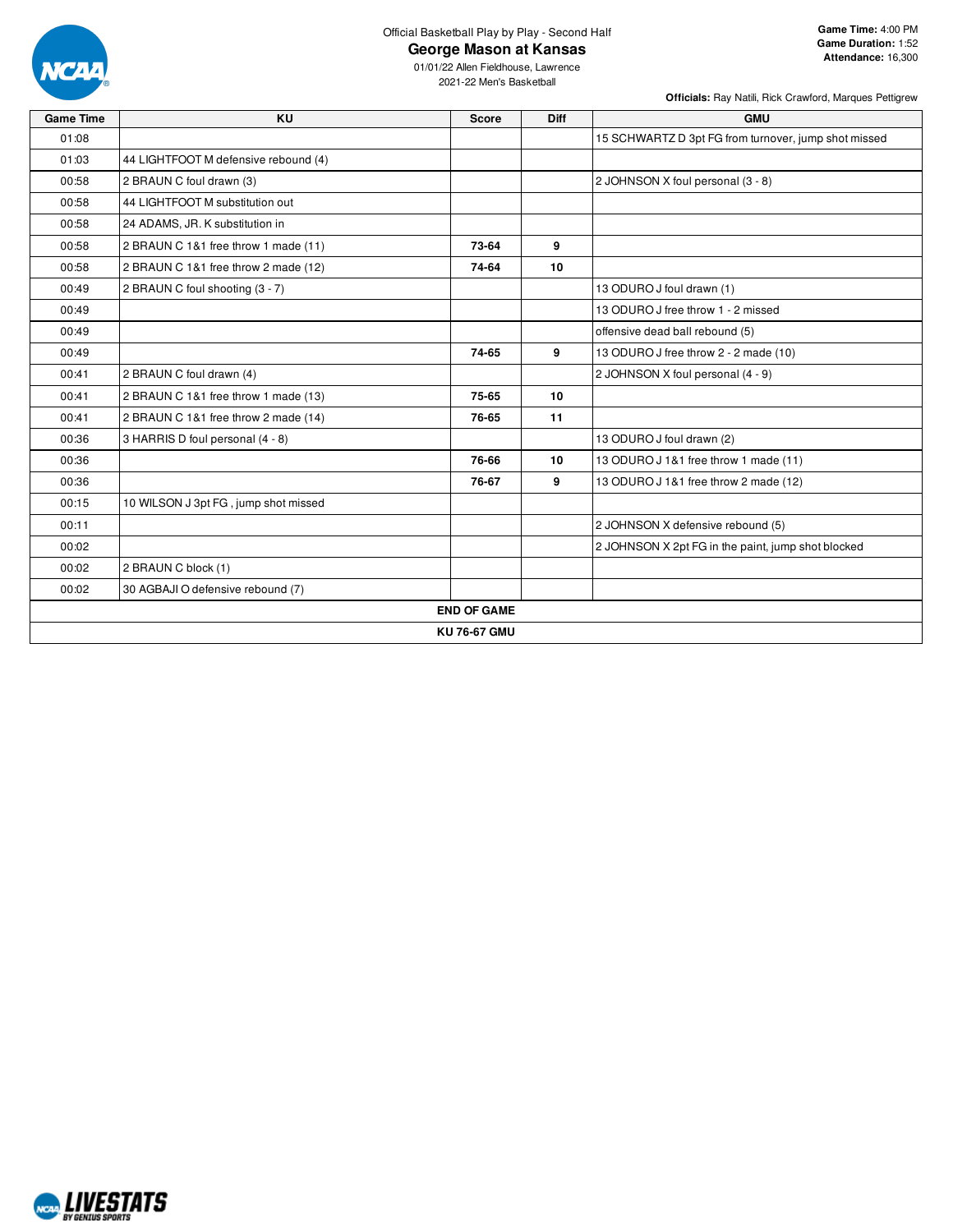

### **George Mason at Kansas**

01/01/22 Allen Fieldhouse, Lawrence 2021-22 Men's Basketball

**Officials:** Ray Natili, Rick Crawford, Marques Pettigrew

| <b>Game Time</b> | KU                                   | <b>Score</b>        | <b>Diff</b> | <b>GMU</b>                                           |
|------------------|--------------------------------------|---------------------|-------------|------------------------------------------------------|
| 01:08            |                                      |                     |             | 15 SCHWARTZ D 3pt FG from turnover, jump shot missed |
| 01:03            | 44 LIGHTFOOT M defensive rebound (4) |                     |             |                                                      |
| 00:58            | 2 BRAUN C foul drawn (3)             |                     |             | 2 JOHNSON X foul personal (3 - 8)                    |
| 00:58            | 44 LIGHTFOOT M substitution out      |                     |             |                                                      |
| 00:58            | 24 ADAMS, JR. K substitution in      |                     |             |                                                      |
| 00:58            | 2 BRAUN C 1&1 free throw 1 made (11) | 73-64               | 9           |                                                      |
| 00:58            | 2 BRAUN C 1&1 free throw 2 made (12) | 74-64               | 10          |                                                      |
| 00:49            | 2 BRAUN C foul shooting (3 - 7)      |                     |             | 13 ODURO J foul drawn (1)                            |
| 00:49            |                                      |                     |             | 13 ODURO J free throw 1 - 2 missed                   |
| 00:49            |                                      |                     |             | offensive dead ball rebound (5)                      |
| 00:49            |                                      | 74-65               | 9           | 13 ODURO J free throw 2 - 2 made (10)                |
| 00:41            | 2 BRAUN C foul drawn (4)             |                     |             | 2 JOHNSON X foul personal (4 - 9)                    |
| 00:41            | 2 BRAUN C 1&1 free throw 1 made (13) | 75-65               | 10          |                                                      |
| 00:41            | 2 BRAUN C 1&1 free throw 2 made (14) | 76-65               | 11          |                                                      |
| 00:36            | 3 HARRIS D foul personal (4 - 8)     |                     |             | 13 ODURO J foul drawn (2)                            |
| 00:36            |                                      | 76-66               | 10          | 13 ODURO J 1&1 free throw 1 made (11)                |
| 00:36            |                                      | 76-67               | 9           | 13 ODURO J 1&1 free throw 2 made (12)                |
| 00:15            | 10 WILSON J 3pt FG, jump shot missed |                     |             |                                                      |
| 00:11            |                                      |                     |             | 2 JOHNSON X defensive rebound (5)                    |
| 00:02            |                                      |                     |             | 2 JOHNSON X 2pt FG in the paint, jump shot blocked   |
| 00:02            | 2 BRAUN C block (1)                  |                     |             |                                                      |
| 00:02            | 30 AGBAJI O defensive rebound (7)    |                     |             |                                                      |
|                  |                                      | <b>END OF GAME</b>  |             |                                                      |
|                  |                                      | <b>KU 76-67 GMU</b> |             |                                                      |

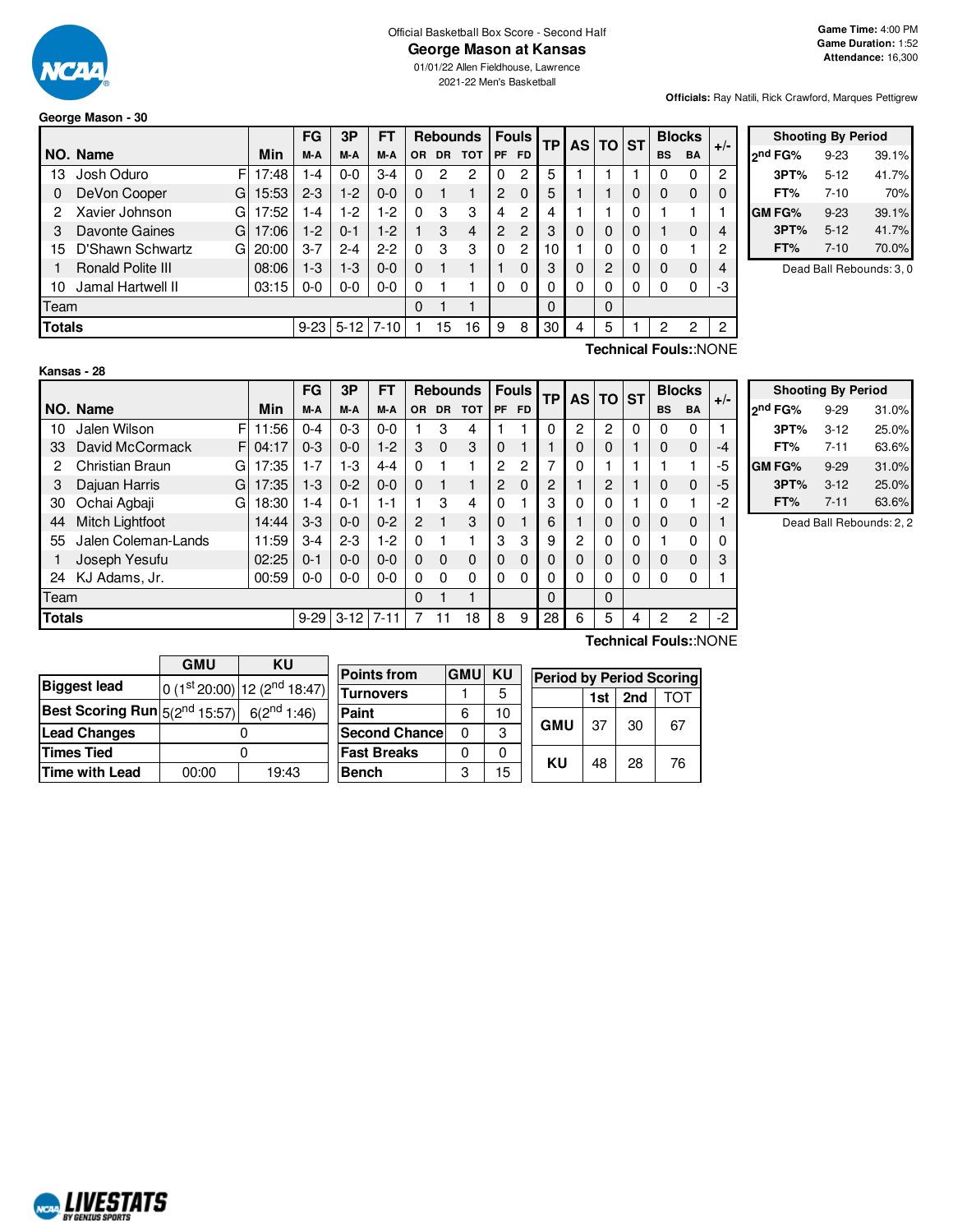

### Official Basketball Box Score - Second Half

### **George Mason at Kansas**

01/01/22 Allen Fieldhouse, Lawrence 2021-22 Men's Basketball

**Officials:** Ray Natili, Rick Crawford, Marques Pettigrew

### **George Mason - 30**

|                                       |                       |       | FG      | 3P      | FТ       |     |           | <b>Rebounds</b> |    | <b>Fouls</b>  | <b>TP</b> |          | AS TO | <b>ST</b> |           | <b>Blocks</b> | $+/-$ |
|---------------------------------------|-----------------------|-------|---------|---------|----------|-----|-----------|-----------------|----|---------------|-----------|----------|-------|-----------|-----------|---------------|-------|
|                                       | NO. Name              | Min   | M-A     | M-A     | M-A      | OR. | <b>DR</b> | <b>TOT</b>      | PF | <b>FD</b>     |           |          |       |           | <b>BS</b> | <b>BA</b>     |       |
| 13                                    | Josh Oduro<br>F       | 17:48 | -4      | $0 - 0$ | $3-4$    | 0   | 2         | 2               | 0  | 2             | 5         |          |       |           | 0         | 0             | 2     |
| 0                                     | DeVon Cooper<br>G     | 15:53 | $2 - 3$ | 1-2     | $0 - 0$  | 0   |           |                 | 2  | $\Omega$      | 5         |          |       | 0         | 0         | 0             |       |
| 2                                     | Xavier Johnson<br>G   | 7:52  | -4      | $-2$    | $-2$     | 0   | 3         | 3               | 4  | 2             | 4         |          |       | 0         |           |               |       |
| 3                                     | Davonte Gaines<br>G   | 17:06 | 1-2     | $0 - 1$ | $1-2$    |     | 3         | 4               | 2  | $\mathcal{P}$ | 3         | 0        | 0     | 0         |           | 0             | 4     |
| 15                                    | D'Shawn Schwartz<br>G | 20:00 | $3 - 7$ | $2 - 4$ | $2 - 2$  | 0   | з         | 3               | 0  | 2             | 10        |          | 0     | 0         | 0         |               | 2     |
|                                       | Ronald Polite III     | 08:06 | $1-3$   | 1-3     | $0 - 0$  | 0   |           |                 |    | 0             | 3         | 0        | 2     | 0         | 0         | 0             |       |
| 10                                    | Jamal Hartwell II     | 03:15 | $0-0$   | $0-0$   | $0 - 0$  | 0   |           |                 | 0  | 0             |           | 0        | 0     | 0         | 0         | 0             | -3    |
| Team                                  |                       |       |         |         | 0        |     |           |                 |    | $\Omega$      |           | $\Omega$ |       |           |           |               |       |
| <b>Totals</b><br>$5 - 12$<br>$9 - 23$ |                       |       |         |         | $7 - 10$ |     | 15        | 16              | 9  | 8             | 30        | 4        | 5     |           | 2         | 2             | 2     |

|                     | <b>Shooting By Period</b> |       |  |  |  |  |
|---------------------|---------------------------|-------|--|--|--|--|
| <sub>2</sub> nd FG% | $9 - 23$                  | 39.1% |  |  |  |  |
| 3PT%                | $5 - 12$                  | 41.7% |  |  |  |  |
| FT%                 | $7 - 10$                  | 70%   |  |  |  |  |
| <b>GMFG%</b>        | $9 - 23$                  | 39.1% |  |  |  |  |
| 3PT%                | $5 - 12$                  | 41.7% |  |  |  |  |
| FT%                 | $7 - 10$                  | 70.0% |  |  |  |  |

Dead Ball Rebounds: 3, 0

| Kansas - | 28 |  |
|----------|----|--|
|          |    |  |
|          |    |  |

**Technical Fouls:**:NONE

|                     |            | <b>FG</b>             | 3P       | <b>FT</b> |                |          | <b>Rebounds</b> |          | <b>Fouls</b>   |    |              |          |   |                | <b>Blocks</b>  |       |
|---------------------|------------|-----------------------|----------|-----------|----------------|----------|-----------------|----------|----------------|----|--------------|----------|---|----------------|----------------|-------|
| NO. Name            | <b>Min</b> | M-A                   | M-A      | M-A       | OR.            | DR.      | <b>TOT</b>      | PF       | <b>FD</b>      |    |              |          |   | <b>BS</b>      | <b>BA</b>      | $+/-$ |
| Jalen Wilson        | 11:56      | $0 - 4$               | $0 - 3$  | $0 - 0$   |                | 3        | 4               |          |                | 0  | 2            | 2        | 0 | 0              | 0              |       |
| David McCormack     | 04:17      | $0 - 3$               | $0 - 0$  | $1-2$     | 3              | $\Omega$ | 3               | $\Omega$ |                |    | 0            | 0        |   | 0              | 0              | -4    |
| Christian Braun     | 17:35      | 1-7                   | 1-3      | $4 - 4$   | $\Omega$       |          |                 | 2        | $\overline{c}$ | 7  | 0            |          |   |                |                | -5    |
| Dajuan Harris       | 17:35      | $1 - 3$               | $0 - 2$  | $0 - 0$   | $\Omega$       |          |                 | 2        | $\Omega$       | 2  |              | 2        |   | 0              | $\Omega$       | -5    |
| Ochai Agbaji        | 18:30      | $1 - 4$               | $0 - 1$  | 1-1       |                | 3        | 4               | $\Omega$ |                | 3  | 0            | 0        |   | 0              |                | -2    |
| Mitch Lightfoot     | 14:44      | $3-3$                 | $0 - 0$  | $0 - 2$   | $\overline{2}$ |          | 3               | $\Omega$ |                | 6  |              | $\Omega$ | 0 | 0              | 0              |       |
| Jalen Coleman-Lands | 11:59      | $3-4$                 | $2 - 3$  | 1-2       | $\Omega$       |          |                 | 3        | 3              | 9  | $\mathbf{2}$ | 0        | 0 |                | $\Omega$       |       |
| Joseph Yesufu       | 02:25      | $0 - 1$               | $0 - 0$  | $0 - 0$   | $\Omega$       | $\Omega$ | 0               | $\Omega$ | $\Omega$       | 0  | $\Omega$     | $\Omega$ | 0 | 0              | $\Omega$       | 3     |
| KJ Adams, Jr.       | 00:59      | 0-0                   | $0 - 0$  | $0 - 0$   | $\Omega$       | $\Omega$ | 0               | $\Omega$ | 0              | 0  | 0            | 0        | 0 | 0              | 0              |       |
| Team                |            |                       |          |           | $\Omega$       |          |                 |          |                | 0  |              | $\Omega$ |   |                |                |       |
| <b>Totals</b>       |            | $9 - 29$              | $3 - 12$ | $7 - 11$  |                |          | 18              | 8        | 9              | 28 | 6            | 5        | 4 | $\overline{2}$ | $\overline{2}$ | $-2$  |
|                     |            | F<br>F<br>G<br>G<br>G |          |           |                |          |                 |          |                |    | TP           |          |   | AS TO ST       |                |       |

| <b>Shooting By Period</b> |          |       |  |  |  |  |  |  |  |  |  |  |
|---------------------------|----------|-------|--|--|--|--|--|--|--|--|--|--|
| 2 <sup>nd</sup> FG%       | $9 - 29$ | 31.0% |  |  |  |  |  |  |  |  |  |  |
| 3PT%                      | $3 - 12$ | 25.0% |  |  |  |  |  |  |  |  |  |  |
| FT%                       | $7 - 11$ | 63.6% |  |  |  |  |  |  |  |  |  |  |
| GM FG%                    | $9 - 29$ | 31.0% |  |  |  |  |  |  |  |  |  |  |
| 3PT%                      | $3 - 12$ | 25.0% |  |  |  |  |  |  |  |  |  |  |
| FT%                       | $7 - 11$ | 63.6% |  |  |  |  |  |  |  |  |  |  |

Dead Ball Rebounds: 2, 2

|                                                                   | <b>GMU</b><br>KU |                             |  |  |  |  |  |  |
|-------------------------------------------------------------------|------------------|-----------------------------|--|--|--|--|--|--|
| <b>Biggest lead</b>                                               |                  | $0(1st20:00) 12(2nd18:47) $ |  |  |  |  |  |  |
| <b>Best Scoring Run</b> $5(2^{nd} 15:57)$ 6(2 <sup>nd</sup> 1:46) |                  |                             |  |  |  |  |  |  |
| <b>Lead Changes</b>                                               |                  |                             |  |  |  |  |  |  |
| <b>Times Tied</b>                                                 |                  |                             |  |  |  |  |  |  |
| <b>Time with Lead</b>                                             | 00:00            | 19:43                       |  |  |  |  |  |  |

| <b>Points from</b>   | <b>GMU</b> | <b>KU</b> | <b>Period by F</b> |     |  |  |
|----------------------|------------|-----------|--------------------|-----|--|--|
| <b>Turnovers</b>     |            | 5         |                    | 1si |  |  |
| Paint                | 6          | 10        |                    |     |  |  |
| <b>Second Chance</b> | ŋ          | 3         | <b>GMU</b>         | 37  |  |  |
| <b>Fast Breaks</b>   |            | ი         |                    |     |  |  |
| <b>Bench</b>         | З          | 15        | ΚU                 | 48  |  |  |
|                      |            |           |                    |     |  |  |

**Technical Fouls:**:NONE

|     | <b>Period by Period Scoring</b> |                 |     |  |  |  |  |  |  |  |  |  |  |
|-----|---------------------------------|-----------------|-----|--|--|--|--|--|--|--|--|--|--|
|     |                                 | 1st $\vert$ 2nd | TOT |  |  |  |  |  |  |  |  |  |  |
| GMU | 37                              | 30              | 67  |  |  |  |  |  |  |  |  |  |  |
| ΚU  | 48                              | 28              | 76  |  |  |  |  |  |  |  |  |  |  |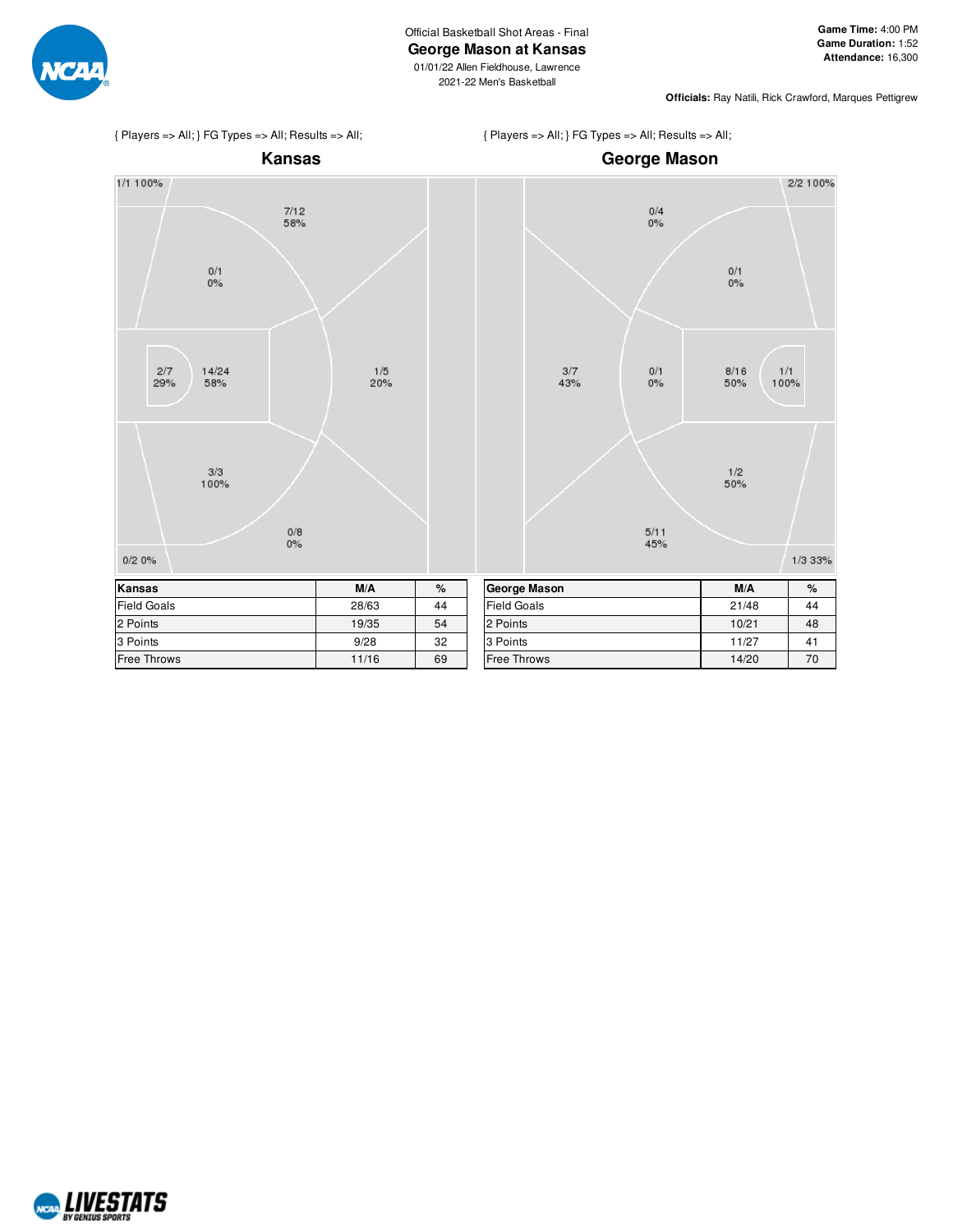

2021-22 Men's Basketball

**Officials:** Ray Natili, Rick Crawford, Marques Pettigrew



{ Players => All; } FG Types => All; Results => All;



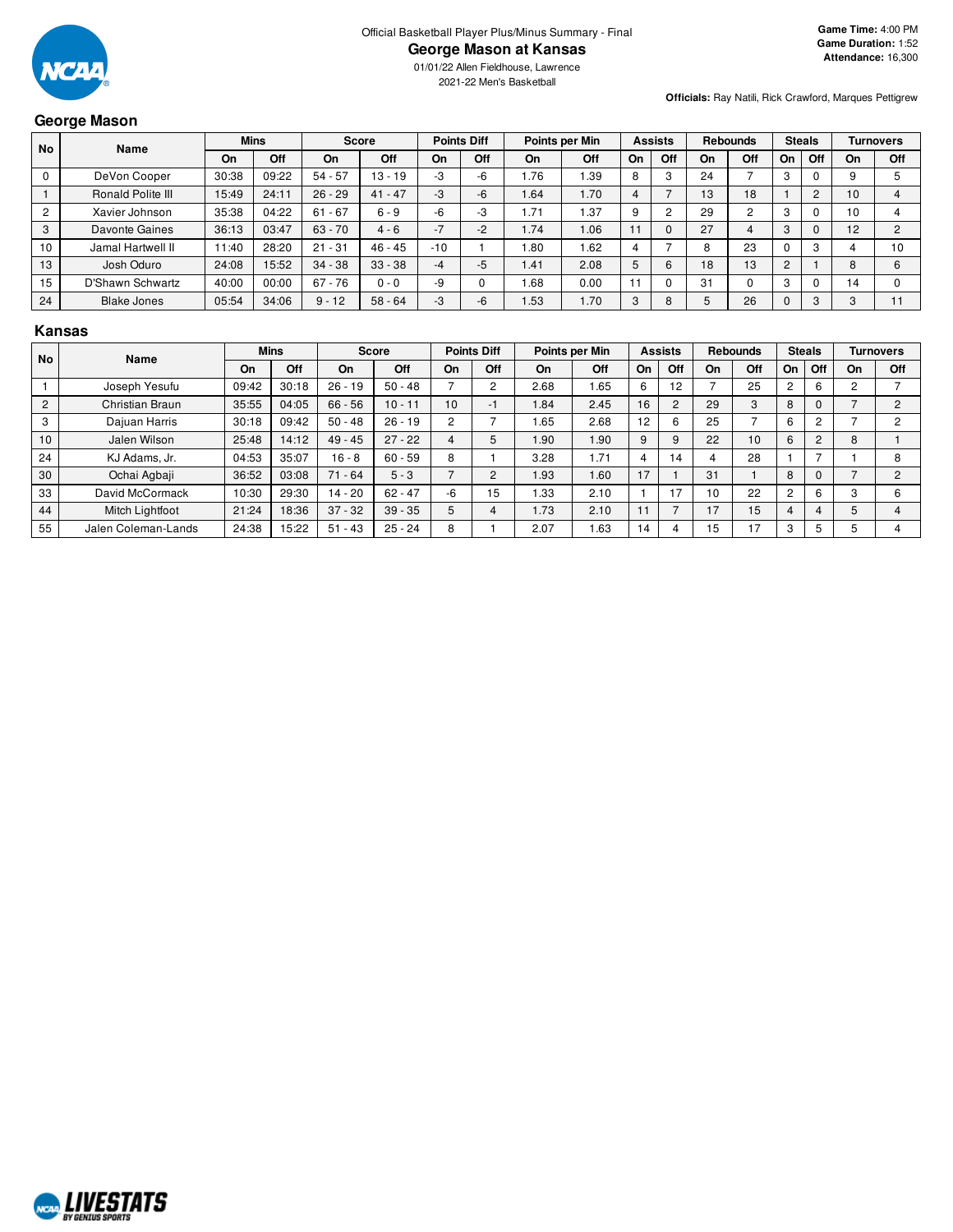

01/01/22 Allen Fieldhouse, Lawrence 2021-22 Men's Basketball

#### **Officials:** Ray Natili, Rick Crawford, Marques Pettigrew

### **George Mason**

| <b>No</b>      | Name               |       | <b>Mins</b> |           | <b>Score</b> |       | <b>Points Diff</b> |       | Points per Min |    | <b>Assists</b> |    | <b>Rebounds</b> | <b>Steals</b> |     |    | Turnovers        |
|----------------|--------------------|-------|-------------|-----------|--------------|-------|--------------------|-------|----------------|----|----------------|----|-----------------|---------------|-----|----|------------------|
|                |                    | On    | Off         | On        | Off          | On    | Off                | On    | Off            | On | Off            | On | Off             | On            | Off | On | Off              |
|                | DeVon Cooper       | 30:38 | 09:22       | $54 - 57$ | $13 - 19$    | -3    | $-6$               | 76، ا | .39            | o  | 3              | 24 |                 | -5            |     | 9  |                  |
|                | Ronald Polite III  | 15:49 | 24:11       | $26 - 29$ | $41 - 47$    | -3    | $-6$               | .64   | 1.70           |    |                | 13 | 18              |               | 2   | 10 |                  |
| $\overline{2}$ | Xavier Johnson     | 35:38 | 04:22       | $61 - 67$ | $6 - 9$      | -6    | -3                 | 1.71  | .37            |    | ◠              | 29 |                 | ົ<br>۰D.      |     | 10 |                  |
| 3              | Davonte Gaines     | 36:13 | 03:47       | $63 - 70$ | $4 - 6$      | $-7$  | $-2$               | 1.74  | 1.06           |    |                | 27 | 4               | 3             |     | 12 | $\sim$           |
| 10             | Jamal Hartwell II  | 11:40 | 28:20       | $21 - 31$ | $46 - 45$    | $-10$ |                    | .80   | .62            |    |                | 8  | 23              |               | 3   |    | 10               |
| 13             | Josh Oduro         | 24:08 | 15:52       | $34 - 38$ | $33 - 38$    | $-4$  | $-5$               | 1.41  | 2.08           | b  | 6              | 18 | 13              | 2             |     | 8  | $6 \overline{6}$ |
| 15             | D'Shawn Schwartz   | 40:00 | 00:00       | $67 - 76$ | $0 - 0$      | -9    |                    | 1.68  | 0.00           |    |                | 31 |                 | C<br>-5       |     | 14 | $\Omega$         |
| 24             | <b>Blake Jones</b> | 05:54 | 34:06       | $9 - 12$  | $58 - 64$    | -3    | $-6$               | .53   | 1.70           | 3  | 8              |    | 26              |               | 3   | C  | 11               |

#### **Kansas**

| <b>No</b>      | <b>Name</b>         |       | <b>Mins</b> |           | <b>Score</b> |      | <b>Points Diff</b> |             | Points per Min |    | <b>Assists</b> |    | Rebounds |     | <b>Steals</b>  |    | <b>Turnovers</b> |
|----------------|---------------------|-------|-------------|-----------|--------------|------|--------------------|-------------|----------------|----|----------------|----|----------|-----|----------------|----|------------------|
|                |                     | On    | Off         | On        | Off          | On   | Off                | On          | Off            | On | Off            | On | Off      | On. | Off            | On | Off              |
|                | Joseph Yesufu       | 09:42 | 30:18       | $26 - 19$ | $50 - 48$    |      |                    | 2.68        | 1.65           | 6  | 12             |    | 25       |     | 6              | 2  |                  |
| $\overline{2}$ | Christian Braun     | 35:55 | 04:05       | $66 - 56$ | $10 - 11$    | 10   | $-$                | .84         | 2.45           | 16 | 2              | 29 | C        | 8   | 0              |    |                  |
| 3              | Dajuan Harris       | 30:18 | 09:42       | $50 - 48$ | $26 - 19$    | 2    |                    | . 65        | 2.68           | 12 | 6              | 25 |          |     | 2              |    |                  |
| 10             | Jalen Wilson        | 25:48 | 14:12       | $49 - 45$ | $27 - 22$    | 4    |                    | 1.90        | 1.90           | 9  | 9              | 22 | 10       | 6   | $\overline{2}$ | 8  |                  |
| 24             | KJ Adams, Jr.       | 04:53 | 35:07       | $16 - 8$  | $60 - 59$    | 8    |                    | 3.28        | 1.71           | 4  | 14             | 4  | 28       |     |                |    |                  |
| 30             | Ochai Agbaji        | 36:52 | 03:08       | $71 - 64$ | $5 - 3$      |      |                    | <b>1.93</b> | 1.60           | 17 |                | 31 |          | 8   | $\Omega$       |    |                  |
| 33             | David McCormack     | 10:30 | 29:30       | $14 - 20$ | $62 - 47$    | $-6$ | 15                 | .33         | 2.10           |    | 17             | 10 | 22       |     | 6              | 3  |                  |
| 44             | Mitch Lightfoot     | 21:24 | 18:36       | $37 - 32$ | $39 - 35$    | 5    |                    | 1.73        | 2.10           |    |                | 17 | 15       |     | 4              |    |                  |
| 55             | Jalen Coleman-Lands | 24:38 | 15:22       | $51 - 43$ | $25 - 24$    | 8    |                    | 2.07        | 1.63           | 14 |                | 15 | 7        |     | 5              |    |                  |

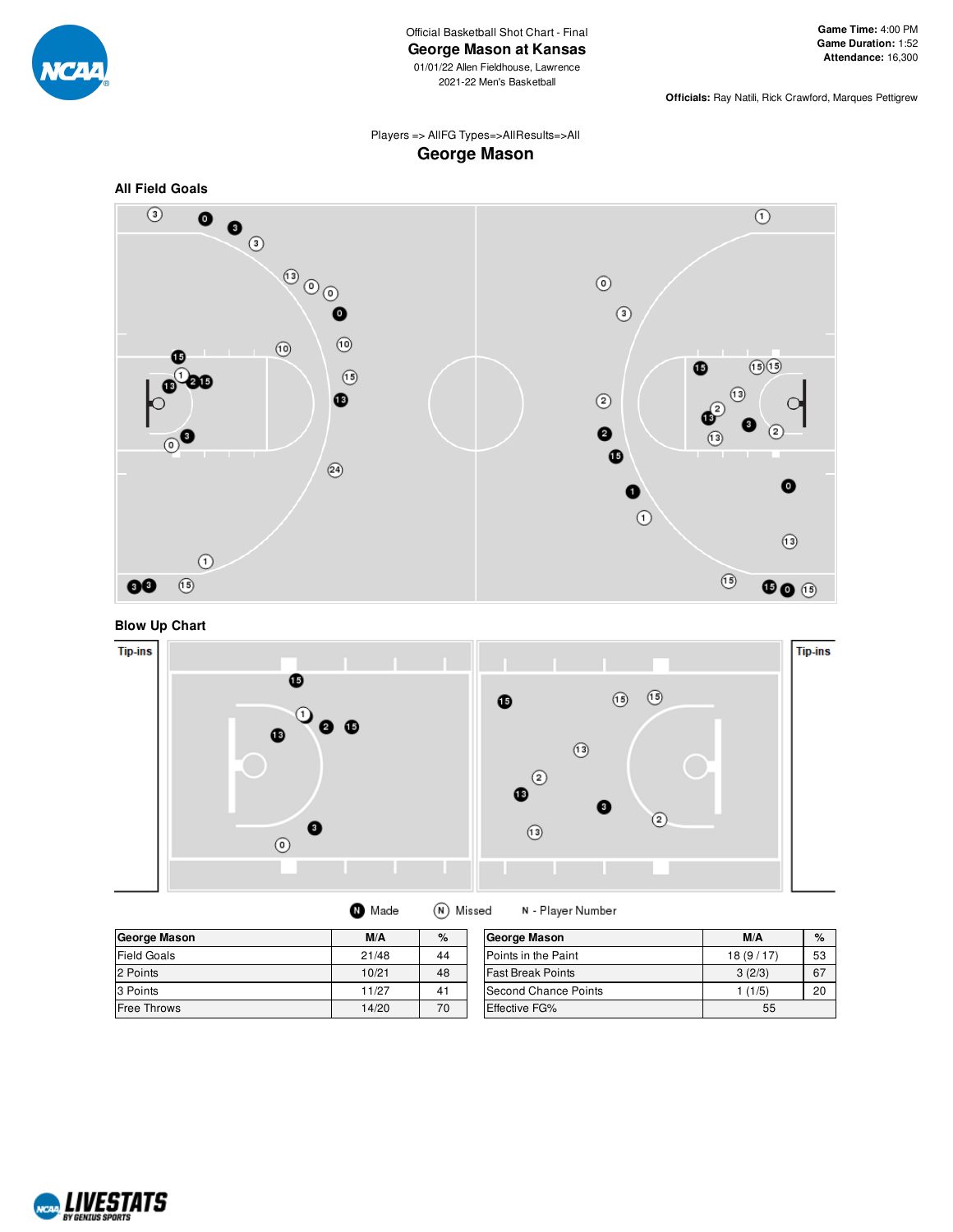

Official Basketball Shot Chart - Final **George Mason at Kansas** 01/01/22 Allen Fieldhouse, Lawrence

2021-22 Men's Basketball

**Officials:** Ray Natili, Rick Crawford, Marques Pettigrew

### Players => AllFG Types=>AllResults=>All **George Mason**



**Blow Up Chart**



| <b>O</b> Made | (N) Missed |
|---------------|------------|
|---------------|------------|

N - Player Number

| <b>George Mason</b> | M/A   | $\%$ | G |
|---------------------|-------|------|---|
| <b>Field Goals</b>  | 21/48 | 44   | P |
| 2 Points            | 10/21 | 48   |   |
| 3 Points            | 11/27 | 41   | S |
| <b>Free Throws</b>  | 14/20 | 70   | F |

| George Mason               | M/A      | %  |
|----------------------------|----------|----|
| <b>Points in the Paint</b> | 18(9/17) | 53 |
| lFast Break Points         | 3(2/3)   | 67 |
| ISecond Chance Points      | 1(1/5)   | 20 |
| <b>Effective FG%</b>       | 55       |    |

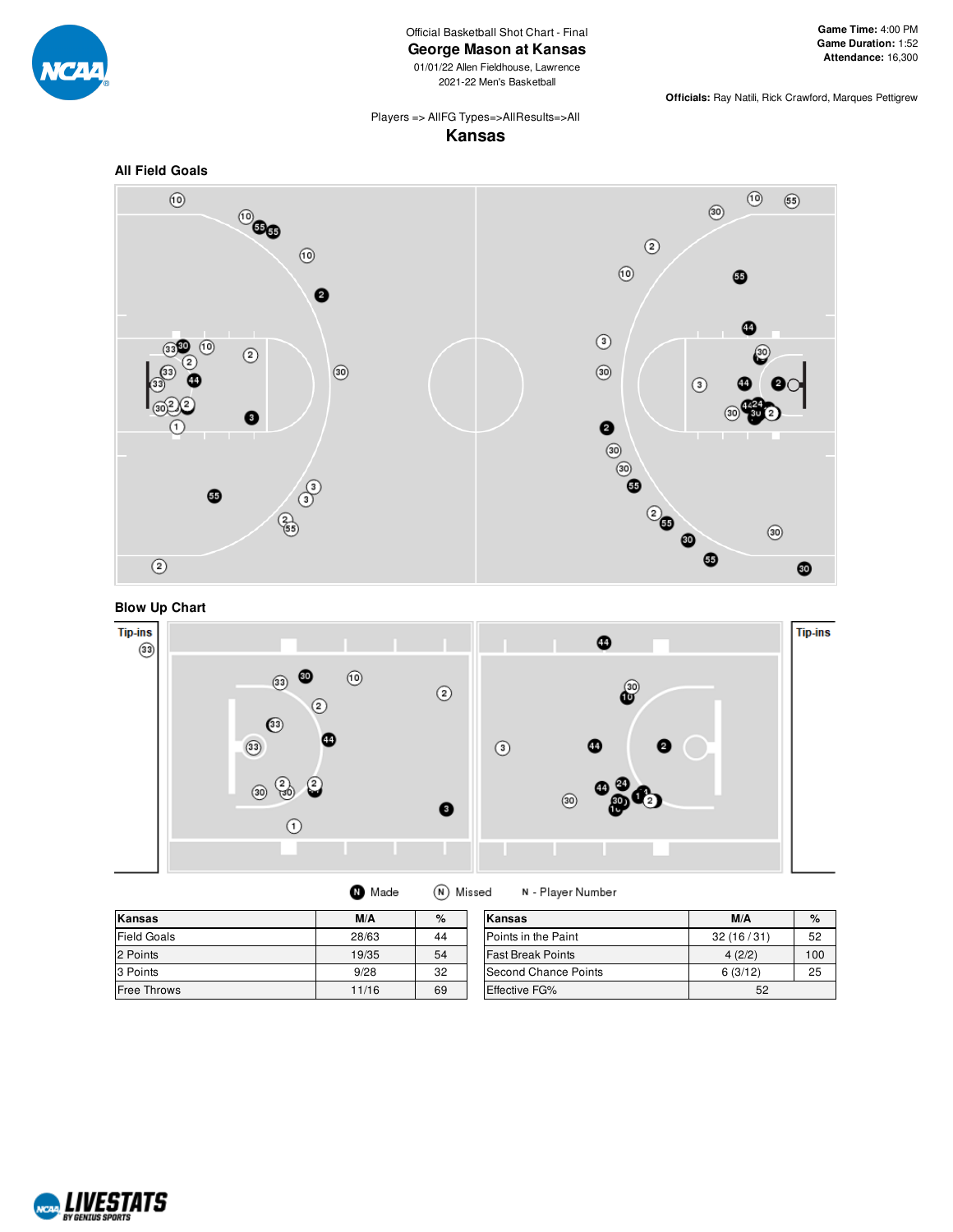

Official Basketball Shot Chart - Final

**George Mason at Kansas**

01/01/22 Allen Fieldhouse, Lawrence 2021-22 Men's Basketball

**Officials:** Ray Natili, Rick Crawford, Marques Pettigrew

### Players => AllFG Types=>AllResults=>All **Kansas**







(N) Missed **O** Made

N - Player Number

| Kansas             | M/A   | %  | Kansas                   | M/A       | $\%$ |
|--------------------|-------|----|--------------------------|-----------|------|
| <b>Field Goals</b> | 28/63 | 44 | Points in the Paint      | 32(16/31) | 52   |
| 2 Points           | 19/35 | 54 | <b>Fast Break Points</b> | 4(2/2)    | 100  |
| 3 Points           | 9/28  | 32 | Second Chance Points     | 6(3/12)   | 25   |
| <b>Free Throws</b> | 11/16 | 69 | <b>Effective FG%</b>     | 52        |      |

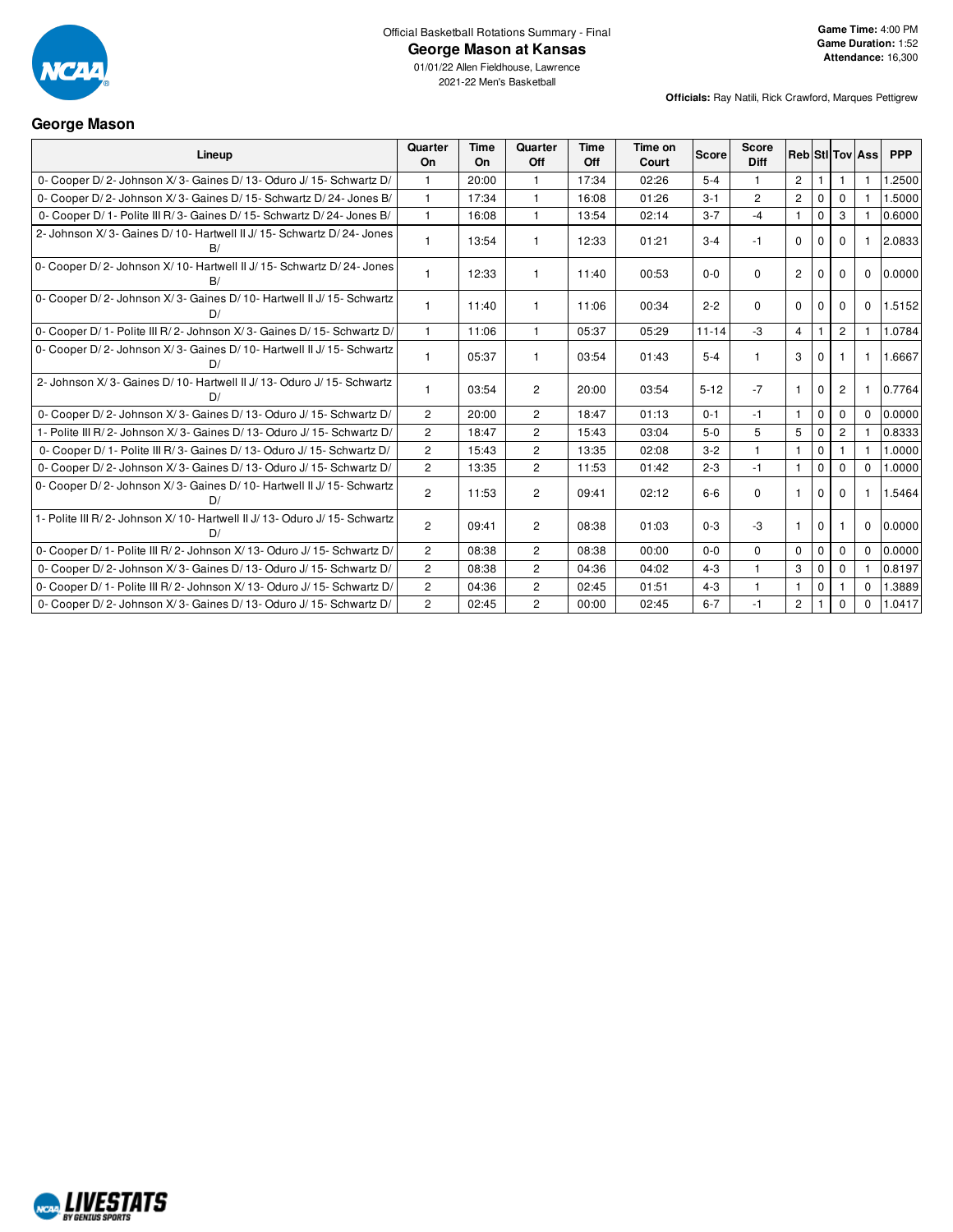

**George Mason**

Official Basketball Rotations Summary - Final

### **George Mason at Kansas**

01/01/22 Allen Fieldhouse, Lawrence 2021-22 Men's Basketball

#### **Officials:** Ray Natili, Rick Crawford, Marques Pettigrew

| Lineup                                                                        | Quarter<br>On  | <b>Time</b><br>On | Quarter<br>Off        | <b>Time</b><br>Off | Time on<br>Court | <b>Score</b> | <b>Score</b><br><b>Diff</b> |                       |             |                | <b>RebiStilToviAss</b> | <b>PPP</b> |
|-------------------------------------------------------------------------------|----------------|-------------------|-----------------------|--------------------|------------------|--------------|-----------------------------|-----------------------|-------------|----------------|------------------------|------------|
| 0- Cooper D/2- Johnson X/3- Gaines D/13- Oduro J/15- Schwartz D/              |                | 20:00             |                       | 17:34              | 02:26            | $5 - 4$      |                             | $\overline{2}$        |             |                |                        | 1.2500     |
| 0- Cooper D/2- Johnson X/3- Gaines D/15- Schwartz D/24- Jones B/              | $\mathbf{1}$   | 17:34             | $\mathbf{1}$          | 16:08              | 01:26            | $3 - 1$      | $\overline{c}$              | $\overline{2}$        | $\mathbf 0$ | $\Omega$       |                        | 1.5000     |
| 0- Cooper D/ 1- Polite III R/ 3- Gaines D/ 15- Schwartz D/ 24- Jones B/       | $\mathbf{1}$   | 16:08             | $\mathbf{1}$          | 13:54              | 02:14            | $3 - 7$      | $-4$                        | $\mathbf{1}$          | $\mathbf 0$ | 3              |                        | 0.6000     |
| 2- Johnson X/3- Gaines D/10- Hartwell II J/15- Schwartz D/24- Jones<br>B/     | $\mathbf{1}$   | 13:54             |                       | 12:33              | 01:21            | $3 - 4$      | $-1$                        | $\Omega$              | $\Omega$    | $\Omega$       |                        | 2.0833     |
| 0- Cooper D/2- Johnson X/10- Hartwell II J/15- Schwartz D/24- Jones           | $\mathbf{1}$   | 12:33             | -1                    | 11:40              | 00:53            | $0 - 0$      | $\Omega$                    | $\overline{2}$        | $\Omega$    | $\Omega$       | $\Omega$               | 0.0000     |
| 0- Cooper D/2- Johnson X/3- Gaines D/10- Hartwell II J/15- Schwartz<br>D/     | $\mathbf{1}$   | 11:40             |                       | 11:06              | 00:34            | $2 - 2$      | $\Omega$                    | $\Omega$              | $\Omega$    | $\Omega$       | $\Omega$               | 1.5152     |
| 0- Cooper D/ 1- Polite III R/ 2- Johnson X/ 3- Gaines D/ 15- Schwartz D/      | $\mathbf{1}$   | 11:06             |                       | 05:37              | 05:29            | $11 - 14$    | $-3$                        | $\overline{4}$        |             | $\overline{c}$ |                        | 1.0784     |
| 0- Cooper D/2- Johnson X/3- Gaines D/10- Hartwell II J/15- Schwartz<br>D/     | 1              | 05:37             |                       | 03:54              | 01:43            | $5-4$        |                             | 3                     | $\Omega$    |                |                        | 1.6667     |
| 2- Johnson X/3- Gaines D/10- Hartwell II J/13- Oduro J/15- Schwartz           | 1              | 03:54             | $\overline{2}$        | 20:00              | 03:54            | $5 - 12$     | $-7$                        | $\mathbf{1}$          | $\mathbf 0$ | 2              |                        | 0.7764     |
| 0- Cooper D/2- Johnson X/3- Gaines D/13- Oduro J/15- Schwartz D/              | $\overline{2}$ | 20:00             | $\overline{2}$        | 18:47              | 01:13            | $0 - 1$      | $-1$                        | $\overline{1}$        | $\mathbf 0$ | $\Omega$       | $\Omega$               | 0.0000     |
| 1- Polite III R/2- Johnson X/3- Gaines D/13- Oduro J/15- Schwartz D/          | $\overline{2}$ | 18:47             | $\overline{2}$        | 15:43              | 03:04            | $5-0$        | 5                           | 5                     | $\mathbf 0$ | $\overline{2}$ |                        | 0.8333     |
| 0- Cooper D/ 1- Polite III R/ 3- Gaines D/ 13- Oduro J/ 15- Schwartz D/       | $\overline{2}$ | 15:43             | $\overline{2}$        | 13:35              | 02:08            | $3 - 2$      | $\mathbf{1}$                | $\mathbf{1}$          | $\mathbf 0$ |                |                        | 1.0000     |
| 0- Cooper D/2- Johnson X/3- Gaines D/13- Oduro J/15- Schwartz D/              | $\mathbf{2}$   | 13:35             | $\overline{2}$        | 11:53              | 01:42            | $2 - 3$      | $-1$                        | -1                    | $\Omega$    | $\Omega$       | $\Omega$               | 1.0000     |
| 0- Cooper D/2- Johnson X/3- Gaines D/10- Hartwell II J/15- Schwartz<br>D/     | $\overline{2}$ | 11:53             | $\overline{2}$        | 09:41              | 02:12            | $6-6$        | $\Omega$                    |                       | $\Omega$    | $\Omega$       |                        | 1.5464     |
| 1- Polite III R/2- Johnson X/10- Hartwell II J/13- Oduro J/15- Schwartz<br>D/ | $\overline{2}$ | 09:41             | $\overline{2}$        | 08:38              | 01:03            | $0 - 3$      | $-3$                        |                       | $\Omega$    |                | $\Omega$               | 0.0000     |
| 0- Cooper D/ 1- Polite III R/ 2- Johnson X/ 13- Oduro J/ 15- Schwartz D/      | $\overline{2}$ | 08:38             | $\overline{2}$        | 08:38              | 00:00            | $0-0$        | $\mathbf 0$                 | $\Omega$              | $\mathbf 0$ | $\Omega$       | $\Omega$               | 0.0000     |
| 0- Cooper D/2- Johnson X/3- Gaines D/13- Oduro J/15- Schwartz D/              | $\overline{2}$ | 08:38             | $\overline{2}$        | 04:36              | 04:02            | $4 - 3$      | $\mathbf{1}$                | 3                     | $\mathbf 0$ | $\Omega$       |                        | 0.8197     |
| 0- Cooper D/ 1- Polite III R/ 2- Johnson X/ 13- Oduro J/ 15- Schwartz D/      | $\mathbf{2}$   | 04:36             | $\mathbf{2}^{\prime}$ | 02:45              | 01:51            | $4 - 3$      |                             |                       | $\mathsf 0$ |                | $\Omega$               | 1.3889     |
| 0- Cooper D/2- Johnson X/3- Gaines D/13- Oduro J/15- Schwartz D/              | $\overline{2}$ | 02:45             | $\overline{2}$        | 00:00              | 02:45            | $6 - 7$      | $-1$                        | $\mathbf{2}^{\prime}$ |             | $\mathbf 0$    | $\Omega$               | 1.0417     |

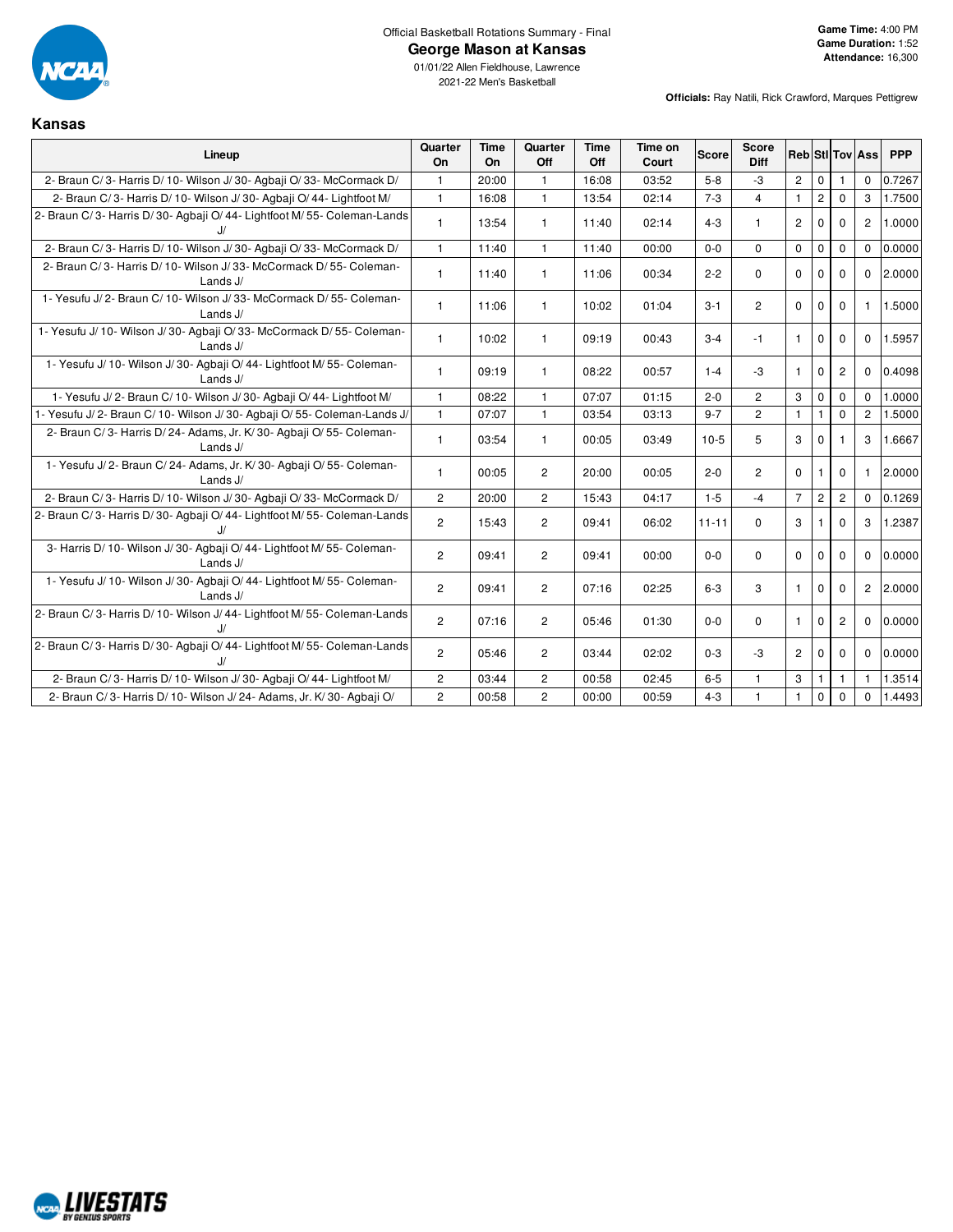

### **George Mason at Kansas**

01/01/22 Allen Fieldhouse, Lawrence 2021-22 Men's Basketball

**Officials:** Ray Natili, Rick Crawford, Marques Pettigrew

### **Kansas**

| Lineup                                                                             | Quarter<br>On  | <b>Time</b><br><b>On</b> | Quarter<br>Off | <b>Time</b><br>Off | Time on<br>Court | <b>Score</b> | <b>Score</b><br>Diff | Reb Stl Tov Ass |                |                |                | <b>PPP</b> |
|------------------------------------------------------------------------------------|----------------|--------------------------|----------------|--------------------|------------------|--------------|----------------------|-----------------|----------------|----------------|----------------|------------|
| 2- Braun C/3- Harris D/10- Wilson J/30- Agbaii O/33- McCormack D/                  | $\mathbf{1}$   | 20:00                    | $\mathbf{1}$   | 16:08              | 03:52            | $5 - 8$      | $-3$                 | $\overline{2}$  | $\mathbf 0$    |                | $\Omega$       | 0.7267     |
| 2- Braun C/3- Harris D/10- Wilson J/30- Agbaji O/44- Lightfoot M/                  | $\mathbf{1}$   | 16:08                    | $\mathbf{1}$   | 13:54              | 02:14            | $7 - 3$      | $\overline{4}$       | $\mathbf{1}$    | $\overline{c}$ | $\Omega$       | 3              | 1.7500     |
| 2- Braun C/3- Harris D/30- Agbaji O/44- Lightfoot M/55- Coleman-Lands<br>J/        | $\mathbf{1}$   | 13:54                    | $\mathbf{1}$   | 11:40              | 02:14            | $4 - 3$      | 1                    | $\overline{2}$  | $\Omega$       | $\Omega$       | $\overline{2}$ | 1.0000     |
| 2- Braun C/3- Harris D/10- Wilson J/30- Agbaji O/33- McCormack D/                  | $\mathbf{1}$   | 11:40                    | $\mathbf{1}$   | 11:40              | 00:00            | $0-0$        | $\Omega$             | $\mathbf 0$     | $\mathbf 0$    | $\mathbf 0$    | $\Omega$       | 0.0000     |
| 2- Braun C/3- Harris D/10- Wilson J/33- McCormack D/55- Coleman-<br>Lands J/       | $\mathbf{1}$   | 11:40                    | $\mathbf{1}$   | 11:06              | 00:34            | $2 - 2$      | $\Omega$             | $\Omega$        | $\mathbf{0}$   | $\Omega$       | $\Omega$       | 2.0000     |
| 1- Yesufu J/2- Braun C/10- Wilson J/33- McCormack D/55- Coleman-<br>Lands J/       | $\mathbf{1}$   | 11:06                    | $\mathbf{1}$   | 10:02              | 01:04            | $3 - 1$      | $\overline{c}$       | $\Omega$        | $\Omega$       | $\Omega$       | $\mathbf{1}$   | 1.5000     |
| 1- Yesufu J/ 10- Wilson J/ 30- Agbaji O/ 33- McCormack D/ 55- Coleman-<br>Lands J/ | $\mathbf{1}$   | 10:02                    | $\mathbf{1}$   | 09:19              | 00:43            | $3 - 4$      | $-1$                 | $\mathbf{1}$    | $\mathbf 0$    | $\mathbf 0$    | $\mathbf 0$    | 1.5957     |
| 1- Yesufu J/ 10- Wilson J/ 30- Agbaji O/ 44- Lightfoot M/ 55- Coleman-<br>Lands J/ | $\mathbf{1}$   | 09:19                    | $\mathbf{1}$   | 08:22              | 00:57            | $1 - 4$      | $-3$                 | $\mathbf{1}$    | $\mathbf{0}$   | $\overline{c}$ | $\Omega$       | 0.4098     |
| 1- Yesufu J/2- Braun C/10- Wilson J/30- Agbaji O/44- Lightfoot M/                  | $\mathbf{1}$   | 08:22                    | $\mathbf{1}$   | 07:07              | 01:15            | $2 - 0$      | $\overline{2}$       | 3               | $\mathbf 0$    | $\Omega$       | $\Omega$       | 1.0000     |
| 1- Yesufu J/2- Braun C/10- Wilson J/30- Agbaii O/55- Coleman-Lands J/              | $\mathbf{1}$   | 07:07                    | $\mathbf{1}$   | 03:54              | 03:13            | $9 - 7$      | $\overline{2}$       | $\mathbf{1}$    |                | $\Omega$       | $\overline{c}$ | 1.5000     |
| 2- Braun C/3- Harris D/24- Adams, Jr. K/30- Agbaji O/55- Coleman-<br>Lands $J/$    | $\mathbf{1}$   | 03:54                    | $\mathbf{1}$   | 00:05              | 03:49            | $10-5$       | 5                    | 3               | $\Omega$       |                | 3              | 1.6667     |
| 1- Yesufu J/2- Braun C/24- Adams, Jr. K/30- Agbaji O/55- Coleman-<br>Lands J/      | $\mathbf{1}$   | 00:05                    | $\overline{2}$ | 20:00              | 00:05            | $2 - 0$      | $\overline{c}$       | $\mathbf 0$     | $\mathbf{1}$   | $\mathbf 0$    | $\mathbf{1}$   | 2.0000     |
| 2- Braun C/3- Harris D/10- Wilson J/30- Agbaji O/33- McCormack D/                  | $\overline{2}$ | 20:00                    | $\overline{2}$ | 15:43              | 04:17            | $1-5$        | $-4$                 | $\overline{7}$  | $\overline{c}$ | $\overline{2}$ | $\Omega$       | 0.1269     |
| 2- Braun C/3- Harris D/30- Agbaji O/44- Lightfoot M/55- Coleman-Lands              | $\overline{c}$ | 15:43                    | $\overline{2}$ | 09:41              | 06:02            | $11 - 11$    | $\Omega$             | 3               |                | $\Omega$       | 3              | 1.2387     |
| 3- Harris D/ 10- Wilson J/ 30- Agbaji O/ 44- Lightfoot M/ 55- Coleman-<br>Lands J/ | $\overline{2}$ | 09:41                    | $\overline{2}$ | 09:41              | 00:00            | $0 - 0$      | 0                    | $\mathbf 0$     | $\mathbf 0$    | $\mathbf 0$    | $\mathbf 0$    | 0.0000     |
| 1- Yesufu J/ 10- Wilson J/ 30- Agbaji O/ 44- Lightfoot M/ 55- Coleman-<br>Lands J/ | $\overline{2}$ | 09:41                    | $\overline{2}$ | 07:16              | 02:25            | $6-3$        | 3                    | $\mathbf{1}$    | $\mathbf{0}$   | $\mathbf 0$    | $\overline{c}$ | 2.0000     |
| 2- Braun C/3- Harris D/10- Wilson J/44- Lightfoot M/55- Coleman-Lands<br>J/        | $\overline{2}$ | 07:16                    | $\overline{2}$ | 05:46              | 01:30            | $0 - 0$      | $\Omega$             | $\mathbf{1}$    | $\Omega$       | $\overline{2}$ | $\Omega$       | 0.0000     |
| 2- Braun C/3- Harris D/30- Agbaji O/44- Lightfoot M/55- Coleman-Lands<br>J/        | $\overline{2}$ | 05:46                    | $\overline{c}$ | 03:44              | 02:02            | $0 - 3$      | $-3$                 | $\overline{2}$  | $\Omega$       | $\Omega$       | $\Omega$       | 0.0000     |
| 2- Braun C/3- Harris D/10- Wilson J/30- Agbaji O/44- Lightfoot M/                  | $\overline{c}$ | 03:44                    | $\overline{2}$ | 00:58              | 02:45            | $6-5$        | $\mathbf{1}$         | 3               |                | 1              | $\mathbf{1}$   | 1.3514     |
| 2- Braun C/3- Harris D/10- Wilson J/24- Adams, Jr. K/30- Agbaji O/                 | $\overline{2}$ | 00:58                    | $\overline{2}$ | 00:00              | 00:59            | $4 - 3$      | $\mathbf{1}$         | $\mathbf{1}$    | $\mathbf 0$    | $\Omega$       | $\Omega$       | 1.4493     |

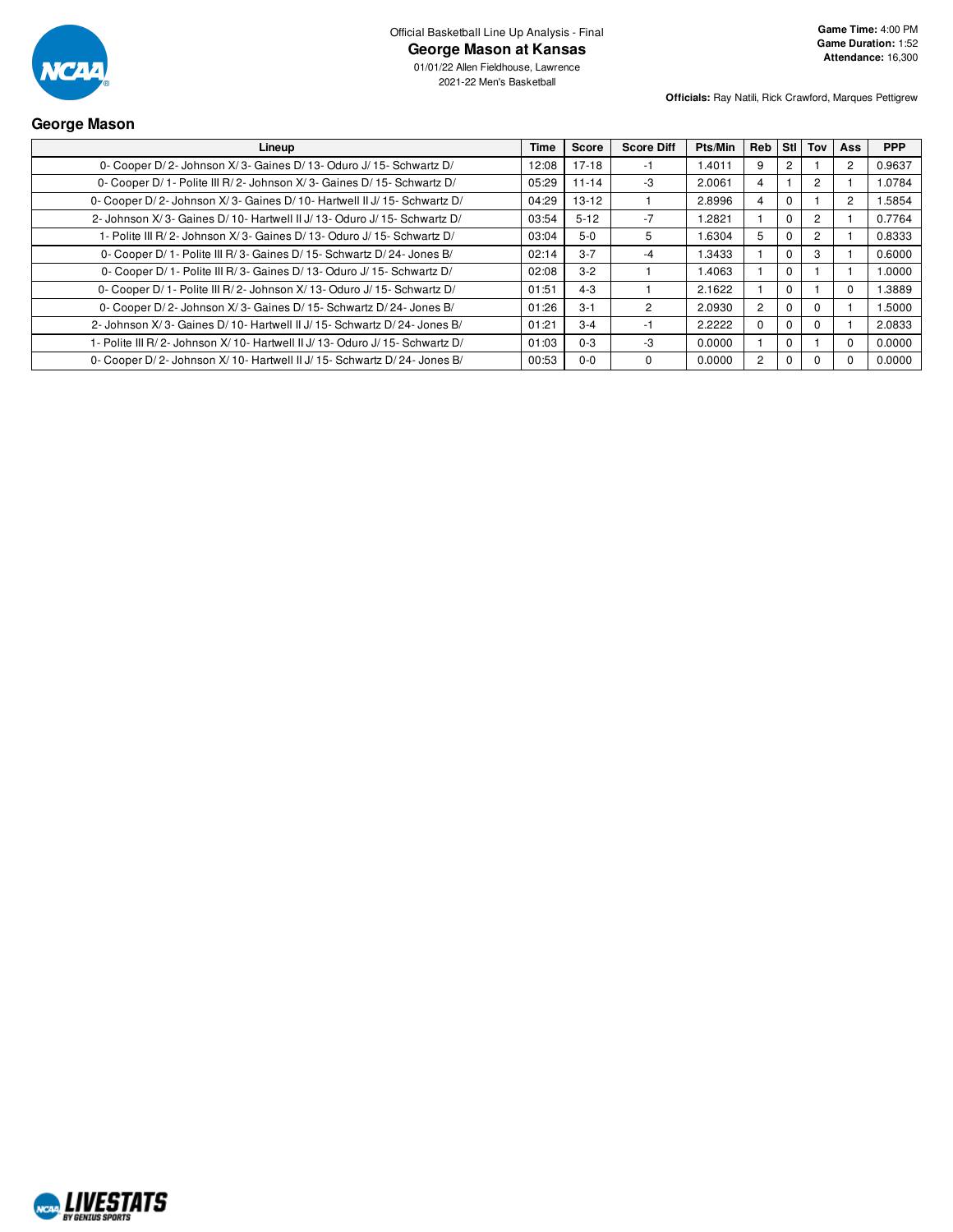

01/01/22 Allen Fieldhouse, Lawrence 2021-22 Men's Basketball

**Officials:** Ray Natili, Rick Crawford, Marques Pettigrew

### **George Mason**

| Lineup                                                                     | Time  | <b>Score</b> | <b>Score Diff</b> | Pts/Min | <b>Reb</b>     | Stil     | Tov            | Ass      | <b>PPP</b> |
|----------------------------------------------------------------------------|-------|--------------|-------------------|---------|----------------|----------|----------------|----------|------------|
| 0- Cooper D/2- Johnson X/3- Gaines D/13- Oduro J/15- Schwartz D/           | 12:08 | $17-18$      | -1                | 1.4011  | 9              |          |                | 2        | 0.9637     |
| 0- Cooper D/1- Polite III R/2- Johnson X/3- Gaines D/15- Schwartz D/       | 05:29 | $11 - 14$    | -3                | 2.0061  | 4              |          | $\overline{2}$ |          | 1.0784     |
| 0- Cooper D/2- Johnson X/3- Gaines D/10- Hartwell II J/15- Schwartz D/     | 04:29 | $13 - 12$    |                   | 2.8996  | 4              |          |                | 2        | 1.5854     |
| 2- Johnson X/3- Gaines D/10- Hartwell II J/13- Oduro J/15- Schwartz D/     | 03:54 | $5 - 12$     | $-7$              | 1.2821  |                | $\Omega$ | $\overline{c}$ |          | 0.7764     |
| 1- Polite III R/2- Johnson X/3- Gaines D/13- Oduro J/15- Schwartz D/       | 03:04 | $5-0$        | 5                 | 1.6304  | 5              |          | $\mathcal{P}$  |          | 0.8333     |
| 0- Cooper D/1- Polite III R/3- Gaines D/15- Schwartz D/24- Jones B/        | 02:14 | $3 - 7$      | -4                | 1.3433  |                |          | 3              |          | 0.6000     |
| 0- Cooper D/ 1- Polite III R/ 3- Gaines D/ 13- Oduro J/ 15- Schwartz D/    | 02:08 | $3-2$        |                   | 1.4063  |                | $\Omega$ |                |          | 1.0000     |
| 0- Cooper D/1- Polite III R/2- Johnson X/13- Oduro J/15- Schwartz D/       | 01:51 | $4 - 3$      |                   | 2.1622  |                | $\Omega$ |                |          | 1.3889     |
| 0- Cooper D/2- Johnson X/3- Gaines D/15- Schwartz D/24- Jones B/           | 01:26 | $3 - 1$      | 2                 | 2.0930  | $\overline{2}$ |          | 0              |          | 1.5000     |
| 2- Johnson X/3- Gaines D/10- Hartwell II J/15- Schwartz D/24- Jones B/     | 01:21 | $3 - 4$      | -1                | 2.2222  | $\Omega$       |          | 0              |          | 2.0833     |
| 1- Polite III R/2- Johnson X/10- Hartwell II J/13- Oduro J/15- Schwartz D/ | 01:03 | $0 - 3$      | -3                | 0.0000  |                |          |                | $\Omega$ | 0.0000     |
| 0- Cooper D/2- Johnson X/10- Hartwell II J/15- Schwartz D/24- Jones B/     | 00:53 | $0 - 0$      | 0                 | 0.0000  | $\overline{2}$ |          |                |          | 0.0000     |